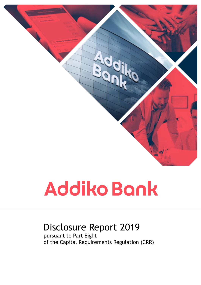

# Disclosure Report 2019

pursuant to Part Eight of the Capital Requirements Regulation (CRR)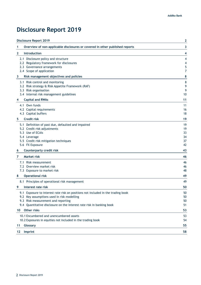# <span id="page-1-0"></span>**Disclosure Report 2019**

| <b>Disclosure Report 2019</b>                                                                                                                                                                                                                 | 2                                |
|-----------------------------------------------------------------------------------------------------------------------------------------------------------------------------------------------------------------------------------------------|----------------------------------|
| Overview of non-applicable disclosures or covered in other published reports<br>1                                                                                                                                                             | 3                                |
| <b>Introduction</b><br>2                                                                                                                                                                                                                      | 4                                |
| 2.1 Disclosure policy and structure<br>2.2 Regulatory framework for disclosures<br>2.3 Governance arrangements<br>2.4 Scope of application                                                                                                    | 4<br>4<br>5<br>7                 |
| 3<br>Risk management objectives and policies                                                                                                                                                                                                  | 8                                |
| 3.1 Risk control and monitoring<br>3.2 Risk strategy & Risk Appetite Framework (RAF)<br>3.3 Risk organisation<br>3.4 Internal risk management guidelines                                                                                      | 8<br>9<br>9<br>10                |
| <b>Capital and RWAs</b><br>4                                                                                                                                                                                                                  | 11                               |
| 4.1 Own funds<br>4.2 Capital requirements<br>4.3 Capital buffers                                                                                                                                                                              | 11<br>16<br>18                   |
| <b>Credit risk</b><br>5                                                                                                                                                                                                                       | 19                               |
| 5.1 Definition of past due, defaulted and impaired<br>5.2 Credit risk adjustments<br>5.3 Use of ECAIs<br>5.4 Leverage<br>5.5 Credit risk mitigation techniques<br>5.6 FX Exposure                                                             | 19<br>19<br>33<br>34<br>37<br>42 |
| <b>Counterparty credit risk</b><br>6                                                                                                                                                                                                          | 43                               |
| <b>Market risk</b><br>7                                                                                                                                                                                                                       | 46                               |
| 7.1 Risk measurement<br>7.2 Overview market risk<br>7.3 Exposure to market risk<br><b>Operational risk</b><br>8                                                                                                                               | 46<br>46<br>48<br>49             |
| 8.1 Principles of operational risk management                                                                                                                                                                                                 | 49                               |
| Interest rate risk<br>9                                                                                                                                                                                                                       | 50                               |
| 9.1 Exposure to interest rate risk on positions not included in the trading book<br>9.2 Key assumptions used in risk modelling<br>9.3 Risk measurement and reporting<br>9.4 Quantitative disclosure on the interest rate risk in banking book | 50<br>50<br>50<br>51             |
| Other risks<br>10                                                                                                                                                                                                                             | 53                               |
| 10.1 Encumbered and unencumbered assets<br>10.2 Exposures in equities not included in the trading book                                                                                                                                        | 53<br>54                         |
| Glossary<br>11                                                                                                                                                                                                                                | 55                               |
| Imprint<br>12                                                                                                                                                                                                                                 | 58                               |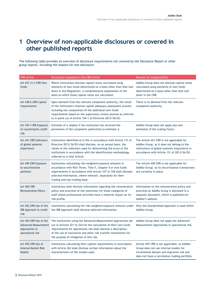# <span id="page-2-0"></span>**1 Overview of non-applicable disclosures or covered in other published reports**

The following table provides an overview of disclosure requirements not covered by the Disclosure Report or other group reports, including the reasons for non-disclosure.

| <b>CRR</b> article                                                 | Disclosures requested in the CRR article                                                                                                                                                                                                                                                                                                 | Reasons for inapplicability                                                                                                                                                            |
|--------------------------------------------------------------------|------------------------------------------------------------------------------------------------------------------------------------------------------------------------------------------------------------------------------------------------------------------------------------------------------------------------------------------|----------------------------------------------------------------------------------------------------------------------------------------------------------------------------------------|
| Art 437 (1) f CRR Own<br>funds                                     | Where institutions disclose capital ratios calculated using<br>elements of own funds determined on a basis other than that laid<br>down in this Regulation, a comprehensive explanation of the<br>basis on which those capital ratios are calculated.                                                                                    | Addiko Group does not disclose capital ratios<br>calculated using elements of own funds<br>determined on a basis other than that laid<br>down in the CRR.                              |
| Art 438 b CRR Capital<br>requirements                              | Upon demand from the relevant competent authority, the result<br>of the institution's internal capital adequacy assessment process<br>including the composition of the additional own funds<br>requirements based on the supervisory review process as referred<br>to in point (a) of Article 104-1 of Directive 2013/36/EU.             | There is no demand from the relevant<br>competent authority.                                                                                                                           |
| Art 439 i CRR Exposure<br>to counterparty credit<br>risk           | Estimate of $\alpha$ (alpha) if the institution has received the<br>permission of the competent authorities to estimate a.                                                                                                                                                                                                               | Addiko Group does not apply any own<br>estimates of the scaling factor.                                                                                                                |
| Art 441 CRR Indicators<br>of global systemic<br>importance         | Institutions identified as G-SIIs in accordance with Article 131 of<br>Directive 2013/36/EU shall disclose, on an annual basis, the<br>values of the indicators used for determining the score of the<br>institutions in accordance with the identification methodology<br>referred to in that Article.                                  | The Article 441 CRR is not applicable for<br>Addiko Group, as it does not belong to the<br>institutions of global systemic importance in<br>accordance with Article 131 of 2013/36/EU. |
| Art 449 CRR Exposure<br>to securitisation<br>positions             | Institutions calculating risk-weighted exposure amounts in<br>accordance with Part Three, Title II, Chapter 5 or own funds<br>requirements in accordance with Article 337 or 338 shall disclose<br>selected information, where relevant, separately for their<br>trading and non-trading book.                                           | The Article 449 CRR is not applicable for<br>Addiko Group, as no securitisation transactions<br>are currently in place.                                                                |
| <b>Art 450 CRR</b><br><b>Remuneration Policy</b>                   | Institutions shall disclose information regarding the remuneration<br>policy and practices of the institution for those categories of<br>staff whose professional activities have a material impact on its<br>risk profile.                                                                                                              | Information on the remuneration policy and<br>practices at Addiko Group is disclosed in a<br>separate document, which is published on<br>Addiko's website.                             |
| Art 452 CRR Use of the<br>IRB Approach to credit<br>risk           | Institutions calculating the risk-weighted exposure amounts under<br>the IRB Approach shall disclose selected information.                                                                                                                                                                                                               | Only the Standardised Approach is used within<br>Addiko Group.                                                                                                                         |
| Art 454 CRR Use of the<br>Approaches to<br>operational risk        | The institutions using the Advanced Measurement Approaches set<br>Advanced Measurement out in Articles 321 to 324 for the calculation of their own funds<br>requirements for operational risk shall disclose a description<br>of the use of insurances and other risk transfer mechanisms for<br>the purpose of mitigation of this risk. | Addiko Group does not apply the Advanced<br>Measurement Approaches to operational risk.                                                                                                |
| Art 455 CRR Use of<br><b>Internal Market Risk</b><br><b>Models</b> | Institutions calculating their capital requirements in accordance<br>with Article 363 shall disclose certain information about the<br>characteristics of the models used.                                                                                                                                                                | Article 455 CRR is not applicable, as Addiko<br>Group does not use internal models for<br>incremental default and migration risk and<br>does not have a correlation trading portfolio. |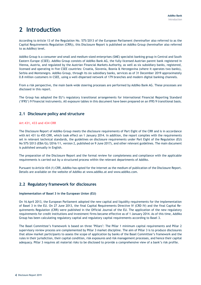# <span id="page-3-0"></span>**2 Introduction**

According to Article 13 of the Regulation No. 575/2013 of the European Parliament (hereinafter also referred to as the Capital Requirements Regulation (CRR)), this Disclosure Report is published on Addiko Group (hereinafter also referred to as Addiko) level.

Addiko Group is a consumer and small and medium-sized enterprises (SME) specialist banking group in Central and South Eastern Europe (CSEE). Addiko Group consists of Addiko Bank AG, the fully-licensed Austrian parent bank registered in Vienna, Austria, and regulated by the Austrian Financial Markets Authority, as well as six subsidiary banks, registered, licensed and operating in five CSEE countries: Croatia, Slovenia, Bosnia & Herzegovina (where it operates two banks), Serbia and Montenegro. Addiko Group, through its six subsidiary banks, services as of 31 December 2019 approximately 0.8 million customers in CSEE, using a well-dispersed network of 179 branches and modern digital banking channels.

From a risk perspective, the main bank-wide steering processes are performed by Addiko Bank AG. These processes are disclosed in this report.

The Group has adopted the EU's regulatory transitional arrangements for International Financial Reporting Standard ('IFRS') 9 Financial instruments. All exposure tables in this document have been prepared on an IFRS 9 transitional basis.

# <span id="page-3-1"></span>**2.1 Disclosure policy and structure**

#### **Art 431, 433 and 434 CRR**

The Disclosure Report of Addiko Group meets the disclosure requirements of Part Eight of the CRR and is in accordance with Art 431 to 455 CRR, which took effect on 1 January 2014. In addition, the report complies with the requirements set in relevant technical standards, the guidelines on disclosure requirements under Part Eight of the Regulation (EU) No 575/2013 (EBA/GL/2016/11, version 2, published on 9 June 2017), and other relevant guidelines. The main document is published annually in English.

The preparation of the Disclosure Report and the formal review for completeness and compliance with the applicable requirements is carried out by a structured process within the relevant departments of Addiko.

Pursuant to Article 434 (1) CRR, Addiko has opted for the internet as the medium of publication of the Disclosure Report. Details are available on the website of Addiko at www.addiko.at and www.addiko.com.

# <span id="page-3-2"></span>**2.2 Regulatory framework for disclosures**

#### **Implementation of Basel 3 in the European Union (EU)**

On 16 April 2013, the European Parliament adopted the new capital and liquidity requirements for the implementation of Basel 3 in the EU. On 27 June 2013, the final Capital Requirements Directive IV (CRD IV) and the final Capital Requirements Regulation (CRR) were published in the Official Journal of the EU. The application of the new regulatory requirements for credit institutions and investment firms became effective as of 1 January 2014. As of this time, Addiko Group has been calculating regulatory capital and regulatory capital requirements according to Basel 3.

The Basel Committee's framework is based on three "Pillars": The Pillar 1 minimum capital requirements and Pillar 2 supervisory review process are complemented by Pillar 3 market discipline. The aim of Pillar 3 is to produce disclosures that allow market participants to assess the scope of application by banks of the Basel Committee's framework and the rules in their jurisdiction, their capital condition, risk exposures and risk management processes, and hence their capital adequacy. Pillar 3 requires all material risks to be disclosed to provide a comprehensive view of a bank's risk profile.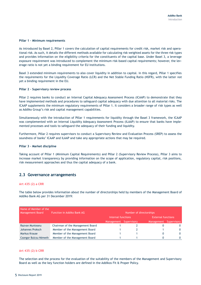#### **Pillar 1 – Minimum requirements**

As introduced by Basel 2, Pillar 1 covers the calculation of capital requirements for credit risk, market risk and operational risk. As such, it details the different methods available for calculating risk weighted assets for the three risk types and provides information on the eligibility criteria for the constituents of the capital base. Under Basel 3, a leverage exposure requirement was introduced to complement the minimum risk-based capital requirements; however, the leverage ratio is not yet a binding requirement for EU institutions.

Basel 3 extended minimum requirements to also cover liquidity in addition to capital. In this regard, Pillar 1 specifies the requirements for the Liquidity Coverage Ratio (LCR) and the Net Stable Funding Ratio (NSFR), with the latter not yet a binding requirement in the EU.

#### **Pillar 2 – Supervisory review process**

Pillar 2 requires banks to conduct an Internal Capital Adequacy Assessment Process (ICAAP) to demonstrate that they have implemented methods and procedures to safeguard capital adequacy with due attention to all material risks. The ICAAP supplements the minimum regulatory requirements of Pillar 1. It considers a broader range of risk types as well as Addiko Group's risk and capital management capabilities.

Simultaneously with the introduction of Pillar 1 requirements for liquidity through the Basel 3 framework, the ICAAP was complemented with an Internal Liquidity Adequacy Assessment Process (ILAAP) to ensure that banks have implemented processes and tools to safeguard the adequacy of their funding and liquidity.

Furthermore, Pillar 2 requires supervisors to conduct a Supervisory Review and Evaluation Process (SREP) to assess the soundness of banks' ICAAP and ILAAP and take any appropriate actions that may be required.

#### **Pillar 3 – Market discipline**

Taking account of Pillar 1 (Minimum Capital Requirements) and Pillar 2 (Supervisory Review Process), Pillar 3 aims to increase market transparency by providing information on the scope of application, regulatory capital, risk positions, risk measurement approaches and thus the capital adequacy of a bank.

## <span id="page-4-0"></span>**2.3 Governance arrangements**

#### **Art 435 (2) a CRR**

The table below provides information about the number of directorships held by members of the Management Board of Addiko Bank AG per 31 December 2019:

| Name of Member of the<br><b>Management Board</b> | Function in Addiko Bank AG       |                        | Number of directorships   |             |
|--------------------------------------------------|----------------------------------|------------------------|---------------------------|-------------|
|                                                  |                                  | Internal functions     | <b>External functions</b> |             |
|                                                  |                                  | Management Supervisory | Management                | Supervisory |
| Razvan Munteanu                                  | Chairman of the Management Board |                        |                           |             |
| Johannes Proksch                                 | Member of the Management Board   |                        |                           |             |
| Markus Krause                                    | Member of the Management Board   |                        |                           | 0           |
| Csongor Bulcsu Németh                            | Member of the Management Board   |                        | 0                         |             |

#### **Art 435 (2) b CRR**

The selection and the process for the evaluation of the suitability of the members of the Management and Supervisory Board as well as the key function holders are defined in the Addikos Fit & Proper Policy.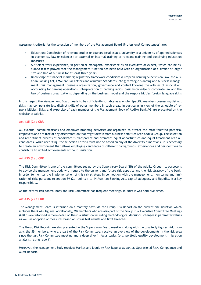Assessment criteria for the selection of members of the Management Board (Professional Competences) are:

- Education: Completion of relevant studies or courses (studies at a university or a university of applied sciences in economics, law or sciences) or external or internal training or relevant training and continuing education measures
- Sufficient work experience, in particular managerial experience as an executive or expert, which can be assumed if it is proved that the management function has been held with an organization of a similar or larger size and line of business for at least three years
- Knowledge of financial markets; regulatory framework conditions (European Banking Supervision Law, the Austrian Banking Act, FMA Circular Letters and Minimum Standards, etc.); strategic planning and business management; risk management; business organization, governance and control knowing the articles of association; accounting for banking operations; interpretation of banking ratios; basic knowledge of corporate law and the law of business organizations; depending on the business model and the responsibilities foreign language skills

In this regard the Management Board needs to be sufficiently suitable as a whole. Specific members possessing distinct skills may compensate less distinct skills of other members in such areas, in particular in view of the schedule of responsibilities. Skills and expertise of each member of the Management Body of Addiko Bank AG are presented on the website of Addiko.

#### **Art 435 (2) c CRR**

All external communications and employer branding activities are organized to attract the most talented potential employees and are free of any discrimination that might detain from business activities with Addiko Group. The selection and recruitment process of candidates is transparent and promotes equal opportunities and equal treatment with all candidates. While recruiting, the selection criteria must not be based on any of the diversity dimensions, it is necessary to create an environment that allows employing candidates of different backgrounds, experiences and perspectives to contribute to united achievements without limitation.

#### **Art 435 (2) d CRR**

The Risk Committee is one of the committees set up by the Supervisory Board (SB) of the Addiko Group. Its purpose is to advice the management body with regard to the current and future risk appetite and the risk strategy of the bank. In order to monitor the implementation of this risk strategy in connection with the management, monitoring and limitation of risks pursuant to section 39 (2b) points 1 to 14 Austrian Banking Act, capital adequacy and liquidity, is a key responsibility.

As the central risk control body the Risk Committee has frequent meetings. In 2019 it was held five times.

#### **Art 435 (2) e CRR**

The Management Board is informed on a monthly basis via the Group Risk Report on the current risk situation which includes the ICAAP figures. Additionally, MB members who are also part of the Group Risk Executive Committee Meetings (GREC) are informed in more detail on the risk situation including methodological decisions, changes in parameter values as well as adoption of measures based on stress test results and limit breaches.

The Group Risk Reports are also presented in the Supervisory Board meetings along with the quarterly figures. Additionally, the SB members, who are part of the Risk Committee, receive an overview of the developments in the risk area since the last Risk Committee meeting and a deep dive in focus topics (e.g. portfolio quality development, migration analysis, rating report).

Moreover, the Management Body receives Market and Liquidity Risk Reports as well as Operational Risk, Compliance and Audit Reports.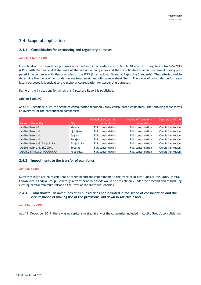# <span id="page-6-0"></span>**2.4 Scope of application**

#### **2.4.1 Consolidation for accounting and regulatory purposes**

#### **Article 436 a-b CRR**

Consolidation for regulatory purposes is carried out in accordance with Article 18 and 19 of Regulation No 575/2013 (CRR), with the financial statements of the individual companies and the consolidated financial statements being prepared in accordance with the principles of the IFRS (International Financial Reporting Standards). The criteria used to determine the scope of consolidation are total assets and off-balance sheet items. The scope of consolidation for regulatory purposes is identical to the scope of consolidation for accounting purposes.

Name of the institution, for which this Disclosure Report is published:

#### **Addiko Bank AG**

As of 31 December 2019, the scope of consolidation included 7 fully consolidated companies. The following table shows an overview of the consolidated companies:

|                             |            | Method of accounting      | Method of regulatory      | Description of the |
|-----------------------------|------------|---------------------------|---------------------------|--------------------|
| Name of the entity          | City       | consolidation             | consolidation             | entity             |
| Addiko Bank AG              | Vienna     | Full consolidation        | <b>Full consolidation</b> | Credit institution |
| Addiko Bank d.d.            | Ljubljana  | Full consolidation        | <b>Full consolidation</b> | Credit institution |
| Addiko Bank d.d.            | Zagreb     | Full consolidation        | Full consolidation        | Credit institution |
| Addiko Bank d.d.            | Sarajevo   | Full consolidation        | Full consolidation        | Credit institution |
| Addiko Bank a.d. Banja Luka | Banja Luka | Full consolidation        | Full consolidation        | Credit institution |
| Addiko Bank a.d. BEOGRAD    | Beograd    | Full consolidation        | Full consolidation        | Credit institution |
| ADDIKO BANK A.D. PODGORICA  | Podgorica  | <b>Full consolidation</b> | <b>Full consolidation</b> | Credit institution |

#### **2.4.2 Impediments to the transfer of own funds**

#### **Art 436 c CRR**

Currently there are no restrictions or other significant impediments to the transfer of own funds or regulatory capital known within Addiko Group. Generally, a transfer of own funds would be possible only under the precondition of fulfilling existing capital minimum ratios on the level of the individual entities.

#### **2.4.3 Total shortfall in own funds of all subsidiaries not included in the scope of consolidation and the circumstance of making use of the provisions laid down in Articles 7 and 9**

#### **Art 436 d-e CRR**

As of 31 December 2019, there was no capital shortfall at any of the companies included in Addiko Group's consolidation.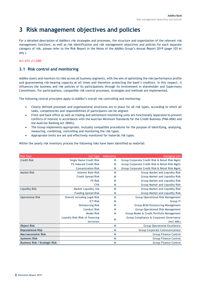# <span id="page-7-0"></span>**3 Risk management objectives and policies**

For a detailed description of Addiko's risk strategies and processes, the structure and organization of the relevant risk management functions, as well as risk identification and risk management objectives and policies for each separate category of risk, please refer to the Risk Report in the Notes of the Addiko Group's Annual Report 2019 (page 103 et seq.).

#### **Art 435 (1) CRR**

# <span id="page-7-1"></span>**3.1 Risk control and monitoring**

Addiko steers and monitors its risks across all business segments, with the aim of optimizing the risk/performance profile and guaranteeing risk-bearing capacity at all times and therefore protecting the bank's creditors. In this respect, it influences the business and risk policies of its participations through its involvement in shareholder and Supervisory Committees. For participations, compatible risk control processes, strategies and methods are implemented.

The following central principles apply to Addiko's overall risk controlling and monitoring:

- Clearly defined processes and organizational structures are in place for all risk types, according to which all tasks, competencies and responsibilities of participants can be aligned.
- Front and back office as well as trading and settlement/monitoring units are functionally separated to prevent conflicts of interest in accordance with the Austrian Minimum Standards for the Credit Business (FMA-MSK) and the Austrian Banking Act (BWG).
- The Group implements appropriate, mutually compatible procedures for the purpose of identifying, analysing, measuring, combining, controlling and monitoring the risk types.
- Appropriate limits are set and effectively monitored for material risk types.

Within the yearly risk inventory process the following risks have been identified as material:

| <b>Risk Type</b>                      | Sub Type                       | Materiality | <b>Managing Unit</b>                           |
|---------------------------------------|--------------------------------|-------------|------------------------------------------------|
| <b>Credit Risk</b>                    | <b>Single Name Credit Risk</b> | M           | Group Corporate Credit Risk & Retail Risk Mgmt |
|                                       | <b>FX-induced Credit Risk</b>  | M           | Group Corporate Credit Risk & Retail Risk Mgmt |
|                                       | <b>Concentration Risk</b>      | M           | Group Corporate Credit Risk & Retail Risk Mgmt |
| <b>Market Risk</b>                    | <b>Interest Rate Risk</b>      | M           | Group Market and Liquidity Risk                |
|                                       | <b>Credit Spread Risk</b>      | M           | Group Market and Liquidity Risk                |
|                                       | <b>FX Risk</b>                 | M           | Group Market and Liquidity Risk                |
|                                       | <b>CVA</b>                     | M           | Group Market and Liquidity Risk                |
| Liquidity Risk                        | Market Liquidity risk          | M           | Group Market and Liquidity Risk                |
|                                       | <b>Funding Spread Risk</b>     | M           | Group Market and Liquidity Risk                |
| <b>Operational Risk</b>               | Overall including Legal Risk   | M           | Group Operational Risk Management              |
|                                       | <b>ICT Risk</b>                | M           | Group IT                                       |
|                                       | <b>Outsourcing Risk</b>        | M           | Group BCM/Outsourcing Management               |
|                                       | <b>Conduct Risk</b>            | M           | Group Operational Risk Management              |
|                                       | <b>Model Risk</b>              | M           | Group Model & Credit Portfolio Management      |
|                                       | Laundry Risk/Risk of financing | M           | Group Compliance & Corporate Governance        |
|                                       | terrorism                      |             | (incl AML)                                     |
| <b>Object Risk</b>                    |                                | M           | <b>Group Operational Excellence</b>            |
| <b>Reputational Risk</b>              |                                | M           | <b>Group Corporate Communications</b>          |
| <b>Macroeconomic Risk</b>             |                                | M           | <b>Group Finance Control</b>                   |
| <b>Systemic Risk</b>                  |                                | M           | <b>Group Finance Control</b>                   |
| <b>Business Risk / Strategic Risk</b> |                                | M           | <b>Group Finance Control</b>                   |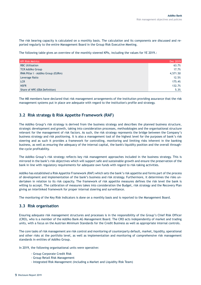The risk bearing capacity is calculated on a monthly basis. The calculation and its components are discussed and reported regularly to the entire Management Board in the Group Risk Executive Meeting.

The following table gives an overview of the monthly steered KPIs, including the values for YE 2019.:

| <b>KPI Risk Metrics</b>            | Dec 2019 |
|------------------------------------|----------|
| <b>RBC Utilisation</b>             | 63.7%    |
| <b>TCR Addiko Group</b>            | 17.7%    |
| RWA Pillar I - Addiko Group (EURm) | 4,571.50 |
| Leverage Ratio                     | 12.5%    |
| <b>LCR</b>                         | 175.4%   |
| <b>NSFR</b>                        | 132.7%   |
| Share of NPE (EBA Definition)      | 5.3%     |

The MB members have declared that risk management arrangements of the institution providing assurance that the risk management systems put in place are adequate with regard to the institution's profile and strategy.

## <span id="page-8-0"></span>**3.2 Risk strategy & Risk Appetite Framework (RAF)**

The Addiko Group's risk strategy is derived from the business strategy and describes the planned business structure, strategic development and growth, taking into consideration processes, methodologies and the organisational structure relevant for the management of risk factors. As such, the risk strategy represents the bridge between the Company's business strategy and risk positioning. It is also a management tool of the highest level for the purposes of bank's risk steering and as such it provides a framework for controlling, monitoring and limiting risks inherent in the banking business, as well as ensuring the adequacy of the internal capital, the bank's liquidity position and the overall throughthe-cycle profitability.

The Addiko Group's risk strategy reflects key risk management approaches included in the business strategy. This is mirrored in the bank's risk objectives which will support safe and sustainable growth and ensure the preservation of the bank in line with regulatory requirements for adequate own funds with regard to risk-taking activities.

Addiko has established a Risk Appetite Framework (RAF) which sets the bank's risk appetite and forms part of the process of development and implementation of the bank's business and risk strategy. Furthermore, it determines the risks undertaken in relation to its risk capacity. The framework of risk appetite measures defines the risk level the bank is willing to accept. The calibration of measures takes into consideration the Budget, risk strategy and the Recovery Plan giving an interlinked framework for proper internal steering and surveillance.

The monitoring of the Key Risk Indicators is done on a monthly basis and is reported to the Management Board.

## <span id="page-8-1"></span>**3.3 Risk organisation**

Ensuring adequate risk management structures and processes is in the responsibility of the Group's Chief Risk Officer (CRO), who is a member of the Addiko Bank AG Management Board. The CRO acts independently of market and trading units, with a focus on the Austrian Minimum Standards for the Credit Business as well as appropriate internal controls.

The core tasks of risk management are risk control and monitoring of counterparty default, market, liquidity, operational and other risks at the portfolio level, as well as implementation and monitoring of comprehensive risk management standards in entities of Addiko Group.

In 2019, the following organisational units were operative:

- Group Corporate Credit Risk
- Group Retail Risk Management
- Integrated Risk Management (including a Market and Liquidity Risk Team)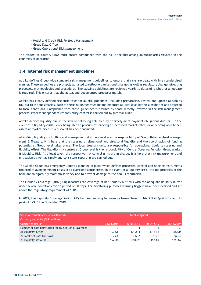- Model and Credit Risk Portfolio Management
- Group Data Office
- Group Operational Risk Management

The respective country CROs must ensure compliance with the risk principles among all subsidiaries situated in the countries of operation.

# <span id="page-9-0"></span>**3.4 Internal risk management guidelines**

Addiko defines Group wide standard risk management guidelines to ensure that risks are dealt with in a standardised manner. These guidelines are promptly adjusted to reflect organisational changes as well as regulatory changes effecting processes, methodologies and procedures. The existing guidelines are reviewed yearly to determine whether an update is required. This ensures that the actual and documented processes match.

Addiko has clearly defined responsibilities for all risk guidelines, including preparation, review and update as well as roll-out to the subsidiaries. Each of these guidelines must be implemented at local level by the subsidiaries and adjusted to local conditions. Compliance with these guidelines is ensured by those directly involved in the risk management process. Process-independent responsibility control is carried out by Internal Audit.

Addiko defines liquidity risk as the risk of not being able to fully or timely meet payment obligations due, or – in the event of a liquidity crisis – only being able to procure refinancing at increased market rates, or only being able to sell assets at market prices if a discount has been included.

At Addiko, liquidity controlling and management at Group level are the responsibility of Group Balance Sheet Management & Treasury. It is here that the steering of situational and structural liquidity and the coordination of funding potential at Group level takes place. The local treasury units are responsible for operational liquidity steering and liquidity offset. The liquidity risk control at Group level is the responsibility of Central Steering Function Group Market & Liquidity Risk. At a local level, the respective risk control units are in charge. It is here that risk measurement and mitigation as well as timely and consistent reporting are carried out.

The Addiko Group has emergency liquidity planning in place which defines processes, control and hedging instruments required to avert imminent crises or to overcome acute crises. In the event of a liquidity crisis, the top priorities of the bank are to rigorously maintain solvency and to prevent damage to the bank's reputation.

The Liquidity Coverage Ratio (LCR) measures the coverage of net liquidity outflows with the adequate liquidity buffer under severe conditions over a period of 30 days. For monitoring purposes warning triggers have been defined and set above the regulatory requirement of 100%.

In 2019, the Liquidity Coverage Ratio (LCR) has been moving between its lowest level of 147.9 % in April 2019 and its peak of 179.7 % in November 2019.

| Scope of consolidation (consolidated)                  | <b>Total weighted</b> |            |            |            |
|--------------------------------------------------------|-----------------------|------------|------------|------------|
| Currency and units (EUR million)                       |                       |            |            |            |
| Quarter ending on:                                     | 31.03.2019            | 30.06.2019 | 30.09.2019 | 31.12.2019 |
| Number of data points used for calculation of averages |                       |            |            |            |
| 21 Liquidity Buffer                                    | 1,072.6               | 1.105.3    | 1.164.8    | 1,167.0    |
| 22 Total Net Cash Outflows                             | 679.8                 | 732.7      | 783.0      | 665.4      |
| 23 Liquidity Ratio (%)                                 | 157.8%                | 150.8%     | 157.8%     | 175.4%     |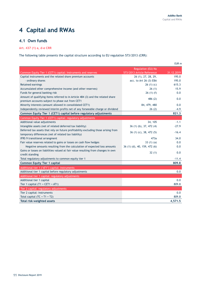$E = 1$ 

# <span id="page-10-0"></span>**4 Capital and RWAs**

# <span id="page-10-1"></span>**4.1 Own funds**

# **Art. 437 (1) a, d-e CRR**

The following table presents the capital structure according to EU regulation 573/2013 (CRR):

|                                                                                    |                              | EUR M      |
|------------------------------------------------------------------------------------|------------------------------|------------|
|                                                                                    | Regulation (EU) No           |            |
| Common Equity Tier 1 (CET1) capital: Instruments and reserves                      | 573/2013 Article Reference   | 31.12.2019 |
| Capital instruments and the related share premium accounts                         | 26 (1), 27, 28, 29,          | 195.0      |
| - ordinary shares                                                                  | acc. to Art 26 (3) EBA       | 195.0      |
| Retained earnings                                                                  | 26(1)(c)                     | 615.3      |
| Accumulated other comprehensive income (and other reserves)                        | 26(1)                        | 15.9       |
| Funds for general banking risk                                                     | 26(1)(f)                     | 0.0        |
| Amount of qualifying items referred to in Article 484 (3) and the related share    | 486 (2)                      | 0.0        |
| premium accounts subject to phase out from CET1                                    |                              |            |
| Minority interests (amount allowed in consolidated CET1)                           | 84, 479, 480                 | 0.0        |
| Independently reviewed interim profits net of any forseeable charge or dividend    | 26(2)                        | $-4.9$     |
| Common Equity Tier 1 (CET1) capital before regulatory adjustments                  |                              | 821.3      |
| Common Equity Tier 1 (CET1) capital: regulatory adjustments                        |                              |            |
| Additional value adjustments                                                       | 34, 105                      | $-1.1$     |
| Intangible assets (net of related deferred tax liability)                          | 36 (1) (b), 37, 472 (4)      | $-27.9$    |
| Deferred tax assets that rely on future profitability excluding those arising from |                              | $-16.4$    |
| temporary differences (net of related tax liability)                               | 36 (1) (c), 38, 472 (5)      |            |
| IFRS 9 transitional arrangment                                                     | 473a                         | 34.0       |
| Fair value reserves related to gains or losses on cash flow hedges                 | 33(1)(a)                     | 0.0        |
| Negative amounts resulting from the calculation of expected loss amounts           | 36 (1) (d), 40, 159, 472 (6) | 0.0        |
| Gains or losses on liabilities valued at fair value resulting from changes in own  | 32(1)                        | 0.0        |
| credit standing                                                                    |                              |            |
| Total regulatory adjustments to common equity tier 1                               |                              | $-11.4$    |
| <b>Common Equity Tier 1 capital</b>                                                |                              | 809.8      |
| Additional tier 1 ('AT1') capital: instruments                                     |                              |            |
| Additional tier 1 capital before regulatory adjustments                            |                              | 0.0        |
| Additional tier 1 capital: regulatory adjustments                                  |                              |            |
| Additional tier 1 capital                                                          |                              | 0.0        |
| Tier 1 capital $(T1 = CET1 + AT1)$                                                 |                              | 809.8      |
| Tier 2 capital: regulatory adjustments                                             |                              |            |
| Tier 2 capital: instruments                                                        |                              | 0.0        |
| Total capital $(TC = T1 + T2)$                                                     |                              | 809.8      |
| Total risk-weighted assets                                                         |                              | 4,571.5    |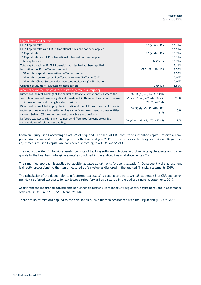| Capital ratios and buffers                                                           |                                  |        |
|--------------------------------------------------------------------------------------|----------------------------------|--------|
| <b>CET1 Capital ratio</b>                                                            | $92(2)(a)$ , 465                 | 17.71% |
| CET1 Capital ratio as if IFRS 9 transitional rules had not been applied              |                                  | 17.11% |
| T1 Capital ratio                                                                     | 92 (2) (b), 465                  | 17.71% |
| T1 Capital ratio as if IFRS 9 transitional rules had not been applied                |                                  | 17.11% |
| Total capital ratio                                                                  | 92 $(2)(c)$                      | 17.71% |
| Total capital ratio as if IFRS 9 transitional rules had not been applied             |                                  | 17.11% |
| Institution specific buffer requirement                                              | CRD 128, 129, 130                | 2.50%  |
| Of which: capital conservation buffer requirement                                    |                                  | 2.50%  |
| Of which: counter-cyclical buffer requirement (Buffer: 0.003%)                       |                                  | 0.00%  |
| Of which: Global Systemically Important Institution ('G-SII') buffer                 |                                  | 0.00%  |
| Common equity tier 1 available to meet buffers                                       | <b>CRD 128</b>                   | 2.50%  |
| Amounts below the threshold for deduction (before risk weighting)                    |                                  |        |
| Direct and indirect holdings of the capital of financial sector entities where the   | 36 (1) (h), 45, 46, 472 (10)     |        |
| institution does not have a significant investment in those entities (amount below   | 56 (c), 59, 60, 475 (4), 66 (c), | 23.8   |
| 10% threshold and net of eligible short positions)                                   | 69, 70, 477 (4)                  |        |
| Direct and indirect holdings by the institution of the CET1 instruments of financial | 36 (1) (i), 45, 48, 470, 472     |        |
| sector entities where the institution has a significant investment in those entities |                                  | 0.0    |
| (amount below 10% threshold and net of eligible short positions)                     | (11)                             |        |
| Deferred tax assets arising from temporary differences (amount below 10%)            |                                  | 7.5    |
| threshold, net of related tax liability)                                             | 36 (1) (c), 38, 48, 470, 472 (5) |        |

Common Equity Tier 1 according to Art. 26 et seq. and 51 et seq. of CRR consists of subscribed capital, reserves, comprehensive income and the audited profit for the financial year 2019 net of any forseeable charge or dividend. Regulatory adjustments of Tier 1 capital are considered according to Art. 36 and 56 of CRR.

The deductible item "intangible assets" consists of banking software solutions and other intangible assets and corresponds to the line item "Intangible assets" as disclosed in the audited financial statements 2019.

The simplified approach is applied for additional value adjustments (prudent valuation). Consequently the adjustment is directly proportional to the items measured at fair value as disclosed in the audited financial statements 2019.

The calculation of the deductible item "deferred tax assets" is done according to Art. 38 paragraph 5 of CRR and corresponds to deferred tax assets for tax losses carried forward as disclosed in the audited financial statements 2019.

Apart from the mentioned adjustments no further deductions were made. All regulatory adjustments are in accordance with Art. 32-35, 36, 47-48, 56, 66 and 79 CRR.

There are no restrictions applied to the calculation of own funds in accordance with the Regulation (EU) 575/2013.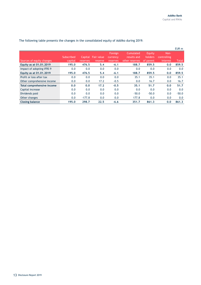|                            |            |          |                   |                     |                          |                   |                     | EUR m   |
|----------------------------|------------|----------|-------------------|---------------------|--------------------------|-------------------|---------------------|---------|
|                            | Subscribed | Capital  | <b>Fair value</b> | Foreign<br>currency | Cumulated<br>results and | Equity<br>holders | Non-<br>controlling |         |
| Sources of equity changes  | capital    | reserves | reserve           | reserves            | other reserves           | of parent         | interest            | Total   |
| Equity as at 01.01.2019    | 195.0      | 476.5    | 5.4               | $-6.1$              | 188.7                    | 859.5             | 0.0                 | 859.5   |
| Impact of adopting IFRS 9  | 0.0        | 0.0      | 0.0               | 0.0                 | 0.0                      | 0.0               | 0.0                 | 0.0     |
| Equity as at 01.01.2019    | 195.0      | 476.5    | 5.4               | $-6.1$              | 188.7                    | 859.5             | 0.0                 | 859.5   |
| Profit or loss after tax   | 0.0        | 0.0      | 0.0               | 0.0                 | 35.1                     | 35.1              | 0.0                 | 35.1    |
| Other comprehensive income | 0.0        | 0.0      | 17.2              | $-0.5$              | 0.0                      | 16.7              | 0.0                 | 16.7    |
| Total comprehensive income | 0.0        | 0.0      | 17.2              | $-0.5$              | 35.1                     | 51.7              | 0.0                 | 51.7    |
| Capital increase           | 0.0        | 0.0      | 0.0               | 0.0                 | 0.0                      | 0.0               | 0.0                 | 0.0     |
| Dividends paid             | 0.0        | 0.0      | 0.0               | 0.0                 | $-50.0$                  | $-50.0$           | 0.0                 | $-50.0$ |
| Other changes              | 0.0        | $-177.8$ | 0.0               | 0.0                 | 177.8                    | 0.0               | 0.0                 | 0.0     |
| <b>Closing balance</b>     | 195.0      | 298.7    | 22.5              | $-6.6$              | 351.7                    | 861.3             | 0.0                 | 861.3   |

The following table presents the changes in the consolidated equity of Addiko during 2019: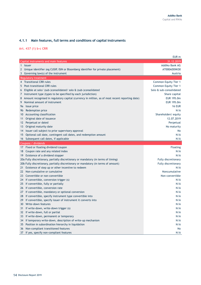# **4.1.1 Main features, full terms and conditions of capital instruments**

**Art. 437 (1) b-c CRR**

|                                                                                                      | EUR <sub>m</sub>           |
|------------------------------------------------------------------------------------------------------|----------------------------|
| Capital instruments and main features                                                                | 31.12.2019                 |
| 1 Issuer                                                                                             | Addiko Bank AG             |
| $\mathbf{2}$<br>Unique identifier (eg CUSIP, ISIN or Bloomberg identifier for private placement)     | AT000ADDIKO0               |
| Governing law(s) of the instrument<br>3                                                              | Austria                    |
| Regulatory treatment                                                                                 |                            |
| 4 Transitional CRR rules                                                                             | Common Equity Tier 1       |
| Post-transitional CRR rules<br>5                                                                     | Common Equity Tier 1       |
| Eligible at solo/ (sub-)consolidated/ solo & (sub-)consolidated<br>6                                 | Solo & sub-consolidated    |
| Instrument type (types to be specified by each jurisdiction)<br>7                                    | Share capital              |
| Amount recognised in regulatory capital (currency in million, as of most recent reporting date)<br>8 | EUR 195.0m                 |
| Nominal amount of instrument<br>9                                                                    | EUR 195.0m                 |
| Issue price<br>9a                                                                                    | <b>16 EUR</b>              |
| Redemption price<br>9b                                                                               | N/A                        |
| Accounting classification<br>10                                                                      | Shareholders' equity       |
| Original date of issuance<br>11                                                                      | 12.07.2019                 |
| Perpetual or dated<br>12                                                                             | Perpetual                  |
| Original maturity date<br>13                                                                         | No maturity                |
| 14 Issuer call subject to prior supervisory approval                                                 | No                         |
| Optional call date, contingent call dates, and redemption amount<br>15                               | N/A                        |
| 16 Subsequent call dates, if applicable                                                              | N/A                        |
| Coupons / dividends                                                                                  |                            |
| 17 Fixed or floating dividend/coupon                                                                 | <b>Floating</b>            |
| Coupon rate and any related index<br>18                                                              | N/A                        |
| Existence of a dividend stopper<br>19                                                                | N/A                        |
| 20a Fully discretionary, partially discretionary or mandatory (in terms of timing)                   | Fully discretionary        |
| 20b Fully discretionary, partially discretionary or mandatory (in terms of amount)                   | <b>Fully discretionary</b> |
| Existence of step up or other incentive to redeem<br>21                                              | N/A                        |
| Non-cumulative or cumulative<br>22                                                                   | Noncumulative              |
| Convertible or non-convertible<br>23                                                                 | Non-convertible            |
| If convertible, conversion trigger (s)<br>24                                                         | N/A                        |
| 25<br>If convertible, fully or partially                                                             | N/A                        |
| If convertible, conversion rate<br>26                                                                | N/A                        |
| If convertible, mandatory or optional conversion<br>27                                               | N/A                        |
|                                                                                                      |                            |
| If convertible, specify instrument type convertible into<br>28                                       | N/A                        |
| If convertible, specify issuer of instrument it converts into<br>29                                  | N/A                        |
| Write-down features<br>30                                                                            | N/A                        |
| If write-down, write-down trigger (s)<br>31                                                          | N/A                        |
| 32 If write-down, full or partial                                                                    | N/A                        |
| If write-down, permanent or temporary<br>33                                                          | N/A                        |
| If temporary write-down, description of write-up mechanism<br>34                                     | N/A                        |
| Position in subordination hierarchy in liquidation<br>35                                             | N/A                        |
| Non-compliant transitioned features<br>36<br>37 If yes, specify non-compliant features               | No<br>N/A                  |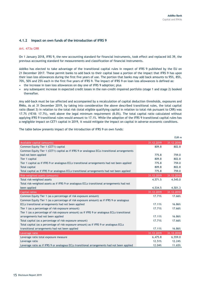#### **4.1.2 Impact on own funds of the introduction of IFRS 9**

#### **Art. 473a CRR**

On 1 January 2018, IFRS 9, the new accounting standard for financial instruments, took effect and replaced IAS 39, the previous accounting standard for measurements and classification of financial instruments.

Addiko has elected to take advantage of the transitional capital rules in respect of IFRS 9 published by the EU on 21 December 2017. These permit banks to add back to their capital base a portion of the impact that IFRS 9 has upon their loan loss allowances during the first five years of use. The portion that banks may add back amounts to 95%, 85%, 70%, 50% and 25% each in the first five years of IFRS 9. The impact of IFRS 9 on loan loss allowances is defined as:

- the increase in loan loss allowances on day one of IFRS 9 adoption; plus
- any subsequent increase in expected credit losses in the non-credit-impaired portfolio (stage 1 and stage 2) booked thereafter.

Any add-back must be tax-affected and accompanied by a recalculation of capital deduction thresholds, exposures and RWAs. As at 31 December 2019, by taking into consideration the above described transitional rules, the total capital ratio (Basel 3) in relation to the total risk (total eligible qualifying capital in relation to total risk pursuant to CRR) was 17.7% (YE18: 17.7%), well above the legal minimum requirement (8.0%). The total capital ratio calculated without applying IFRS 9 transitional rules would amount to 17.1%. While the adoption of the IFRS 9 transitional capital rules has a negligible impact on CET1 capital in 2019, it would mitigate the impact on capital in adverse economic conditions.

|                                                                                              |            | EUR <sub>m</sub> |
|----------------------------------------------------------------------------------------------|------------|------------------|
| Available capital (amounts)                                                                  | 31.12.2019 | 31.12.2018       |
| Common Equity Tier 1 (CET1) capital                                                          | 809.8      | 802.8            |
| Common Equity Tier 1 (CET1) capital as if IFRS 9 or analogous ECLs transitional arrangements |            |                  |
| had not been applied                                                                         | 775.8      | 759.0            |
| Tier 1 capital                                                                               | 809.8      | 802.8            |
| Tier 1 capital as if IFRS 9 or analogous ECLs transitional arrangements had not been applied | 775.8      | 759.0            |
| <b>Total capital</b>                                                                         | 809.8      | 802.8            |
| Total capital as if IFRS 9 or analogous ECLs transitional arrangements had not been applied  | 775.8      | 759.0            |
| Risk-weighted assets (amounts)                                                               | 31.12.2019 | 31.12.2018       |
| Total risk-weighted assets                                                                   | 4,571.5    | 4,545.0          |
| Total risk-weighted assets as if IFRS 9 or analogous ECLs transitional arrangements had not  |            |                  |
| been applied                                                                                 | 4,534.5    | 4,501.3          |
| <b>Capital ratios</b>                                                                        | 31.12.2019 | 31.12.2018       |
| Common Equity Tier 1 (as a percentage of risk exposure amount)                               | 17.71%     | 17.66%           |
| Common Equity Tier 1 (as a percentage of risk exposure amount) as if IFRS 9 or analogous     |            |                  |
| ECLs transitional arrangements had not been applied                                          | 17.11%     | 16.86%           |
| Tier 1 (as a percentage of risk exposure amount)                                             | 17.71%     | 17.66%           |
| Tier 1 (as a percentage of risk exposure amount) as if IFRS 9 or analogous ECLs transitional |            |                  |
| arrangements had not been applied                                                            | 17.11%     | 16.86%           |
| Total capital (as a percentage of risk exposure amount)                                      | 17.71%     | 17.66%           |
| Total capital (as a percentage of risk exposure amount) as if IFRS 9 or analogous ECLs       |            |                  |
| transitional arrangements had not been applied                                               | 17.11%     | 16.86%           |
| Leverage ratio                                                                               | 31.12.2019 | 31.12.2018       |
| Leverage ratio total exposure measure                                                        | 6,475.8    | 6,559.0          |
| Leverage ratio                                                                               | 12.51%     | 12.24%           |
| Leverage ratio as if IFRS 9 or analogous ECLs transitional arrangements had not been applied | 12.04%     | 11.65%           |

The table below presents impact of the introduction of IFRS 9 on own funds: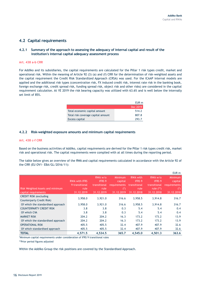# <span id="page-15-0"></span>**4.2 Capital requirements**

#### **4.2.1 Summary of the approach to assessing the adequacy of internal capital and result of the institution's internal capital adequacy assessment process**

#### **Art. 438 a-b CRR**

For Addiko and its subsidiaries, the capital requirements are calculated for the Pillar 1 risk types credit, market and operational risk. Within the meaning of Article 92 (3) (a) and (f) CRR for the determination of risk-weighted assets and the capital requirement the Credit Risk Standardized Approach (CRSA) was used. For the ICAAP internal models are applied and the additional risk types (concentration risk, FX induced credit risk, interest rate risk in the banking book, foreign exchange risk, credit spread risk, funding spread risk, object risk and other risks) are considered in the capital requirement calculation. At YE 2019 the risk bearing capacity was utilized with 63.6% and is well below the internally set limit of 85%.

|                                    | FUR <sub>m</sub> |
|------------------------------------|------------------|
|                                    | Dec 2019         |
| Total economic capital amount      | 514.2            |
| Total risk coverage capital amount | 807.8            |
| Excess capital                     | 293.7            |

#### **4.2.2 Risk-weighted exposure amounts and minimum capital requirements**

#### **Art. 438 c-f CRR**

Based on the business activities of Addiko, capital requirements are derived for the Pillar 1 risk types credit risk, market risk and operational risk. The capital requirements were complied with at all times during the reporting period.

The table below gives an overview of the RWA and capital requirements calculated in accordance with the Article 92 of the CRR (EU OV1- EBA/GL/2016/11):

|                                                            |                                                              |                                                                |                                                                         |                                                                 |                                                                         | EUR m                                                            |
|------------------------------------------------------------|--------------------------------------------------------------|----------------------------------------------------------------|-------------------------------------------------------------------------|-----------------------------------------------------------------|-------------------------------------------------------------------------|------------------------------------------------------------------|
| Risk Weighted Assets and minimum<br>capital requirements   | <b>RWA with IFRS</b><br>9 transitional<br>rule<br>31.12.2019 | RWA w/o<br><b>IFRS 9</b><br>transitional<br>rule<br>31.12.2019 | <b>Minimum</b><br>capital<br><b>requirements</b><br>$(*)$<br>31.12.2019 | RWA with<br><b>IFRS 9</b><br>transitional<br>rule<br>31.12.2018 | $RWA$ w/o<br><b>IFRS 9</b><br>transitional<br>rule $(**)$<br>31.12.2018 | <b>Minimum</b><br>capital<br>requirements<br>$(*)$<br>31.12.2018 |
| <b>CREDIT RISK (excluding</b><br>Counterparty Credit Risk) | 3,958.0                                                      | 3,921.0                                                        | 316.6                                                                   | 3,958.5                                                         | 3,914.8                                                                 | 316.7                                                            |
| Of which the standardised approach                         | 3,958.0                                                      | 3,921.0                                                        | 316.6                                                                   | 3,958.5                                                         | 3,914.8                                                                 | 316.7                                                            |
| <b>COUNTERPARTY CREDIT RISK</b>                            | 3.8                                                          | 3.8                                                            | 0.3                                                                     | 5.4                                                             | 5.4                                                                     | 0.4                                                              |
| Of which CVA                                               | 3.8                                                          | 3.8                                                            | 0.3                                                                     | 5.4                                                             | 5.4                                                                     | 0.4                                                              |
| <b>MARKET RISK</b>                                         | 204.2                                                        | 204.2                                                          | 16.3                                                                    | 173.2                                                           | 173.2                                                                   | 13.9                                                             |
| Of which the standardised approach                         | 204.2                                                        | 204.2                                                          | 16.3                                                                    | 173.2                                                           | 173.2                                                                   | 13.9                                                             |
| <b>OPERATIONAL RISK</b>                                    | 405.5                                                        | 405.5                                                          | 32.4                                                                    | 407.9                                                           | 407.9                                                                   | 32.6                                                             |
| Of which standardised approach                             | 405.5                                                        | 405.5                                                          | 32.4                                                                    | 407.9                                                           | 407.9                                                                   | 32.6                                                             |
| <b>TOTAL</b>                                               | 4,571.5                                                      | 4.534.5                                                        | 365.7                                                                   | 4.545.0                                                         | 4.501.3                                                                 | 363.6                                                            |

\*Minimum capital requirements under consideration of IFRS 9 transitional rules

\*\*Prior period figures adjusted

Within the Addiko Group the risk positions are covered by the Standardised Approach.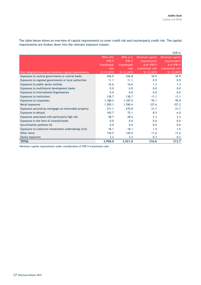The table below shows an overview of capital requirements to cover credit risk and counterparty credit risk. The capital requirements are broken down into the relevant exposure classes:

|                                                        |                                  |                          |                                 | EUR <sub>m</sub>                       |
|--------------------------------------------------------|----------------------------------|--------------------------|---------------------------------|----------------------------------------|
|                                                        | <b>RWA with</b><br><b>IFRS 9</b> | RWA w/o<br><b>IFRS 9</b> | Minimum capital<br>requirements | Minimum capital<br><b>requirements</b> |
|                                                        | transitional                     | transitional             | with IFRS 9                     | w/o IFRS 9                             |
|                                                        | rule                             | rule                     | transitional rule               | transitional rule                      |
| Risk Weighted Assets and minimum capital requirements  | 31.12.2019                       | 31.12.2019               | 31.12.2019                      | 31.12.2019                             |
| Exposures to central governments or central banks      | 436.9                            | 436.8                    | 34.9                            | 34.9                                   |
| Exposures to regional governments or local authorities | 11.1                             | 11.1                     | 0.9                             | 0.9                                    |
| Exposures to public sector entities                    | 16.6                             | 16.6                     | 1.3                             | 1.3                                    |
| Exposures to multilateral development banks            | 0.0                              | 0.0                      | 0.0                             | 0.0                                    |
| <b>Exposures to International Organisations</b>        | 0.0                              | 0.0                      | 0.0                             | 0.0                                    |
| Exposures to institutions                              | 138.7                            | 138.7                    | 11.1                            | 11.1                                   |
| <b>Exposures to corporates</b>                         | 1,188.2                          | 1,187.0                  | 95.1                            | 95.0                                   |
| Retail exposures                                       | 1,595.1                          | 1,590.4                  | 127.6                           | 127.2                                  |
| Exposures secured by mortgages on immovable property   | 271.1                            | 270.8                    | 21.7                            | 21.7                                   |
| Exposures in default                                   | 105.7                            | 75.1                     | 8.5                             | 6.0                                    |
| Exposures associated with particularly high risk       | 28.7                             | 28.6                     | 2.3                             | 2.3                                    |
| Exposures in the form of covered bonds                 | 0.0                              | 0.0                      | 0.0                             | 0.0                                    |
| Securitisation positions SA                            | 0.0                              | 0.0                      | 0.0                             | 0.0                                    |
| Exposures to Collective investments undertakings (CIU) | 18.1                             | 18.1                     | 1.5                             | 1.5                                    |
| Other items                                            | 144.5                            | 144.5                    | 11.6                            | 11.6                                   |
| Equity exposures                                       | 3.2                              | 3.2                      | 0.3                             | 0.3                                    |
| <b>TOTAL</b>                                           | 3,958.0                          | 3,921.0                  | 316.6                           | 313.7                                  |

\*Minimum capital requirements under consideration of IFRS 9 transitional rules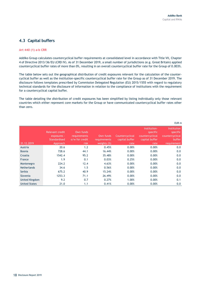# <span id="page-17-0"></span>**4.3 Capital buffers**

#### **Art 440 (1) a-b CRR**

Addiko Group calculates countercyclical buffer requirements at consolidated level in accordance with Title VII, Chapter 4 of Directive 2013/36/EU (CRD IV). As of 31 December 2019, a small number of jurisdictions (e.g. Great Britain) applied countercyclical buffer rates of more than 0%, resulting in an overall countercyclical buffer rate for the Group of 0.003%.

The table below sets out the geographical distribution of credit exposures relevant for the calculation of the countercyclical buffer as well as the institution-specific countercyclical buffer rate for the Group as of 31 December 2019. The disclosure follows templates prescribed by Commission Delegated Regulation (EU) 2015/1555 with regard to regulatory technical standards for the disclosure of information in relation to the compliance of institutions with the requirement for a countercyclical capital buffer.

The table detailing the distribution of credit exposures has been simplified by listing individually only those relevant countries which either represent core markets for the Group or have communicated countercyclical buffer rates other than zero.

|                      |                                                                   |                                                            |                                             |                                           |                                                                       | EUR m                                                                             |
|----------------------|-------------------------------------------------------------------|------------------------------------------------------------|---------------------------------------------|-------------------------------------------|-----------------------------------------------------------------------|-----------------------------------------------------------------------------------|
| 31.12.2019           | <b>Relevant credit</b><br>exposures -<br>Standardised<br>Approach | Own funds<br><b>requirements</b><br>o/w for credit<br>risk | Own funds<br>requirements<br>weights $(\%)$ | Countercyclical<br>capital buffer<br>rate | Institution-<br>specific<br>countercyclical<br>capital buffer<br>rate | <b>Institution</b><br>specific<br>countercyclical<br><b>buffer</b><br>requirement |
| Austria              | 20.6                                                              | 1.2                                                        | 0.45%                                       | 0.00%                                     | 0.00%                                                                 | 0.0                                                                               |
| <b>Bosnia</b>        | 728.6                                                             | 44.1                                                       | 16.44%                                      | 0.00%                                     | 0.00%                                                                 | 0.0                                                                               |
| Croatia              | 1542.4                                                            | 95.2                                                       | 35.48%                                      | 0.00%                                     | 0.00%                                                                 | 0.0                                                                               |
| France               | 1.9                                                               | 0.1                                                        | 0.03%                                       | 0.25%                                     | 0.00%                                                                 | 0.0                                                                               |
| Montenegro           | 224.2                                                             | 12.4                                                       | 4.63%                                       | 0.00%                                     | 0.00%                                                                 | 0.0                                                                               |
| <b>Netherlands</b>   | 34.6                                                              | 1.5                                                        | 0.56%                                       | 0.00%                                     | 0.00%                                                                 | 0.0                                                                               |
| Serbia               | 675.2                                                             | 40.9                                                       | 15.24%                                      | 0.00%                                     | 0.00%                                                                 | 0.0                                                                               |
| Slovenia             | 1253.3                                                            | 71.1                                                       | 26.49%                                      | 0.00%                                     | 0.00%                                                                 | 0.0                                                                               |
| United Kingdom       | 9.2                                                               | 0.7                                                        | 0.27%                                       | 1.00%                                     | 0.00%                                                                 | 0.1                                                                               |
| <b>United States</b> | 21.0                                                              | 1.1                                                        | 0.41%                                       | 0.00%                                     | 0.00%                                                                 | 0.0                                                                               |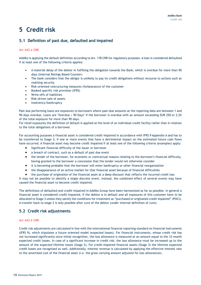# <span id="page-18-0"></span>**5 Credit risk**

# <span id="page-18-1"></span>**5.1 Definition of past due, defaulted and impaired**

#### **Art 442 a CRR**

Addiko is applying the default definition according to Art. 178 CRR for regulatory purposes. A loan is considered defaulted if at least one of the following criteria applies:

- A material delay of the debtor in fulfilling the obligation towards the Bank, which is overdue for more than 90 days (Internal Ratings Based Counter)
- The bank considers that the obligor is unlikely to pay its credit obligations without recourse to actions such as realising security
- Risk-oriented restructuring measures (forbearance) of the customer
- Booked specific risk provision (IFRS)
- Write-offs of liabilities
- Risk-driven sale of assets
- Insolvency/bankruptcy

Past due performing loans are exposures to borrowers where past-due amounts at the reporting data are between 1 and 90 days overdue. Loans are "Overdue > 90 Days" if the borrower is overdue with an amount exceeding EUR 250 or 2,5% of the total exposure for more than 90 days.

For retail exposures the definition of default is applied at the level of an individual credit facility rather than in relation to the total obligations of a borrower.

For accounting purposes a financial asset is considered credit-impaired in accordance with IFRS 9 Appendix A and has to be transferred to Stage 3, if one or more events that have a detrimental impact on the estimated future cash flows have occurred. A financial asset may become credit impaired if at least one of the following criteria (examples) apply:

- Significant financial difficulty of the issuer or borrower
- a breach of contract, such as a default of past due event
- the lender of the borrower, for economic or contractual reasons relating to the borrower's financial difficulty, having granted to the borrower a concession that the lender would not otherwise consider
- it is becoming probable that the borrower will enter bankruptcy or other financial reorganisation
- the disappearance of an active market for that financial asset because of financial difficulties
- the purchase of origination of the financial asset at a deep discount that reflects the incurred credit loss

It may not be possible to identify a single discrete event. Instead, the combined effect of several events may have caused the financial asset to become credit impaired.

The definitions of defaulted and credit-impaired in Addiko Group have been harmonized as far as possible. In general a financial asset is considered credit-impaired, if the debtor is in default and all exposures of this customer have to be allocated to Stage 3 unless they satisfy the conditions for treatment as "purchased or originated credit impaired" (POCI). A transfer back to stage 2 is only possible after cure of the debtor (under internal definition of cure).

# <span id="page-18-2"></span>**5.2 Credit risk adjustments**

#### **Art 442 b CRR**

Credit risk adjustments are calculated in line with the international financial reporting standard on financial instruments (IFRS 9), which stipulates a future oriented model (expected losses). For financial instruments, whose credit risk has not increased significantly since initial recognition, the loss allowance is measured at an amount equal to the 12-month expected credit losses. In case of a significant increase in credit risk, the loss allowance must be increased up to the amount of the expected lifetime losses (Stage 2). For credit-impaired financial assets (Stage 3) the lifetime expected credit losses are recognised as well. Additionally, interest revenue is calculated by applying the effective interest rate to the amortised cost of the financial asset (i.e. the gross carrying amount adjusted for loss allowances).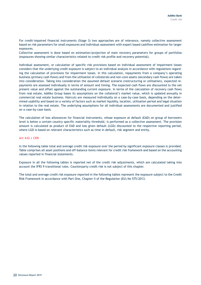For credit-impaired financial instruments (Stage 3) two approaches are of relevance, namely collective assessment based on risk parameters for small exposures and individual assessment with expert based cashflow estimation for larger exposures.

Collective assessment is done based on estimation/projection of main recovery parameters for groups of portfolios (exposures showing similar characteristics related to credit risk profile and recovery potential).

Individual assessment, or calculation of specific risk provisions based on individual assessment of impairment losses considers that the underlying credit exposure is subject to an individual analysis in accordance with regulations regarding the calculation of provisions for impairment losses. In this calculation, repayments from a company's operating business (primary cash flows) and from the utilisation of collaterals and non-core assets (secondary cash flows) are taken into consideration. Taking into consideration the assumed default scenario (restructuring or utilisation), expected repayments are assessed individually in terms of amount and timing. The expected cash flows are discounted to the net present value and offset against the outstanding current exposure. In terms of the calculation of recovery cash flows from real estate, Addiko Group bases its assumptions on the collateral's market value, which is updated annually in commercial real estate business. Haircuts are measured individually on a case-by-case basis, depending on the determined usability and based on a variety of factors such as market liquidity, location, utilisation period and legal situation in relation to the real estate. The underlying assumptions for all individual assessments are documented and justified on a case-by-case basis.

The calculation of loss allowances for financial instruments, whose exposure at default (EAD) on group of borrowers level is below a certain country specific materiality threshold, is performed as a collective assessment. The provision amount is calculated as product of EAD and loss given default (LGD) discounted to the respective reporting period, where LGD is based on relevant characteristics such as time in default, risk segment and entity.

#### **Art 442 c CRR**

In the following table total and average credit risk exposure over the period by significant exposure classes is provided. Table comprises all asset positions and off-balance items relevant for credit risk framework and based on the accounting values reported in financial statements.

Exposure in all the following tables is reported net of the credit risk adjustments, which are calculated taking into account the IFRS 9 transitional rules. Counterparty credit risk is not subject of this chapter.

The total and average credit risk exposure reported in the following tables represent the exposure subject to the Credit Risk Framework in accordance with Part One, Chapter II of the Regulation (EU) No 575/2013.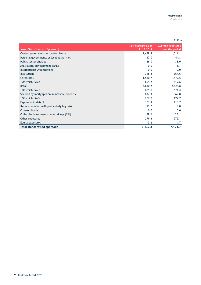|                                              |                                  | EUR <sub>m</sub>                     |
|----------------------------------------------|----------------------------------|--------------------------------------|
| <b>Asset Class (Standard Approach)</b>       | Net exposure as of<br>31.12.2019 | Average exposures<br>over the period |
| Central governments or central banks         | 1,489.9                          | 1,511.1                              |
| Regional governments or local authorities    | 37.0                             | 44.8                                 |
| Public sector entities                       | 26.0                             | 33.0                                 |
| Multilateral development banks               | 0.0                              | 1.7                                  |
| <b>International Organisations</b>           | 0.0                              | 0.0                                  |
| <b>Institutions</b>                          | 346.2                            | 364.6                                |
| Corporates                                   | 1,530.7                          | 1,579.5                              |
| Of which: SMEs                               | 601.2                            | 619.6                                |
| Retail                                       | 2,630.2                          | 2,626.8                              |
| Of which: SMEs                               | 685.1                            | 674.4                                |
| Secured by mortgages on immovable property   | 637.3                            | 569.8                                |
| Of which: SMEs                               | 207.0                            | 174.7                                |
| Exposures in default                         | 103.9                            | 115.7                                |
| Items associated with particularly high risk | 19.2                             | 19.8                                 |
| Covered bonds                                | 0.0                              | 0.0                                  |
| Collective investments undertakings (CIU)    | 29.6                             | 28.1                                 |
| Other exposures                              | 279.6                            | 275.1                                |
| Equity exposures                             | 3.2                              | 4.7                                  |
| <b>Total standardised approach</b>           | 7,132.8                          | 7,174.7                              |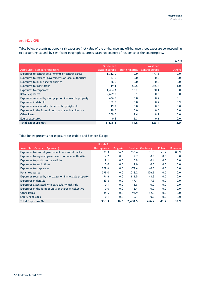#### **Art 442 d CRR**

Table below presents net credit risk exposure (net value of the on-balance and off-balance sheet exposure corresponding to accounting values) by significant geographical areas based on country of residence of the counterparty.

|                                                        |                |               |                       | EUR m         |
|--------------------------------------------------------|----------------|---------------|-----------------------|---------------|
|                                                        | Middle and     | North America | West and              |               |
| <b>Asset Class (Standard Approach)</b>                 | Eastern Europe |               | <b>Central Europe</b> | <b>Others</b> |
| Exposures to central governments or central banks      | 1,312.0        | 0.0           | 177.8                 | 0.0           |
| Exposures to regional governments or local authorities | 37.0           | 0.0           | 0.0                   | 0.0           |
| Exposures to public sector entities                    | 26.0           | 0.0           | 0.0                   | 0.0           |
| <b>Exposures to institutions</b>                       | 19.1           | 50.5          | 275.6                 | 1.0           |
| <b>Exposures to corporates</b>                         | 1,454.4        | 16.2          | 60.1                  | 0.0           |
| Retail exposures                                       | 2,629.3        | 0.1           | 0.8                   | 0.0           |
| Exposures secured by mortgages on immovable property   | 636.8          | 0.0           | 0.4                   | 0.1           |
| Exposures in default                                   | 102.6          | 0.0           | 0.4                   | 0.9           |
| Exposures associated with particularly high risk       | 19.2           | 0.0           | 0.0                   | 0.0           |
| Exposures in the form of units or shares in collective | 29.6           | 0.0           | 0.0                   | 0.0           |
| Other items                                            | 269.0          | 2.4           | 8.2                   | 0.0           |
| Equity exposures                                       | 0.8            | 2.3           | 0.1                   | 0.0           |
| <b>Total Exposure Net</b>                              | 6,535.8        | 71.6          | 523.4                 | 2.0           |

Table below presents net exposure for Middle and Eastern Europe:

|                                                        | Bosnia &           |                 |         |            |        |         |
|--------------------------------------------------------|--------------------|-----------------|---------|------------|--------|---------|
| Asset Class (Standard Approach)                        | <b>Herzegovina</b> | <b>Bulgaria</b> | Croatia | Montenegro | Poland | Romania |
| Exposures to central governments or central banks      | 89.3               | 36.6            | 636.4   | 31.3       | 41.4   | 88.9    |
| Exposures to regional governments or local authorities | 2.2                | 0.0             | 9.7     | 0.0        | 0.0    | 0.0     |
| Exposures to public sector entities                    | 9.1                | 0.0             | 0.9     | 0.1        | 0.0    | 0.0     |
| <b>Exposures to institutions</b>                       | 0.0                | 0.0             | 9.0     | 0.0        | 0.0    | 0.0     |
| <b>Exposures to corporates</b>                         | 229.6              | 0.0             | 472.4   | 40.0       | 0.0    | 0.0     |
| Retail exposures                                       | 399.0              | 0.0             | 1,018.2 | 126.9      | 0.0    | 0.0     |
| Exposures secured by mortgages on immovable property   | 91.6               | 0.0             | 113.5   | 48.3       | 0.0    | 0.0     |
| Exposures in default                                   | 23.6               | 0.0             | 47.1    | 7.3        | 0.0    | 0.0     |
| Exposures associated with particularly high risk       | 0.1                | 0.0             | 15.8    | 0.0        | 0.0    | 0.0     |
| Exposures in the form of units or shares in collective | 0.0                | 0.0             | 16.4    | 0.0        | 0.0    | 0.0     |
| Other items                                            | 85.6               | 0.0             | 98.9    | 12.3       | 0.0    | 0.0     |
| Equity exposures                                       | 0.1                | 0.0             | 0.4     | 0.0        | 0.0    | 0.0     |
| <b>Total Exposure Net</b>                              | 930.3              | 36.6            | 2.438.5 | 266.2      | 41.4   | 88.9    |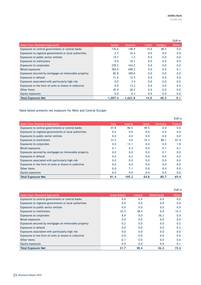|                                                        |               |           |       |         | EUR <sub>m</sub> |
|--------------------------------------------------------|---------------|-----------|-------|---------|------------------|
| Asset Class (Standard Approach)                        | <b>Serbia</b> | 'Slovenia | Czech | Hungary | <b>Others</b>    |
| Exposures to central governments or central banks      | 176.6         | 148.9     | 14.0  | 48.5    | 0.0              |
| Exposures to regional governments or local authorities | 2.7           | 22.4      | 0.0   | 0.0     | 0.0              |
| Exposures to public sector entities                    | 14.7          | 1.2       | 0.0   | 0.0     | 0.0              |
| <b>Exposures to institutions</b>                       | 0.0           | 10.1      | 0.0   | 0.0     | 0.0              |
| <b>Exposures to corporates</b>                         | 278.2         | 434.2     | 0.0   | 0.0     | 0.0              |
| Retail exposures                                       | 394.9         | 690.2     | 0.0   | 0.0     | 0.1              |
| Exposures secured by mortgages on immovable property   | 82.8          | 300.6     | 0.0   | 0.0     | 0.0              |
| Exposures in default                                   | 11.6          | 12.9      | 0.0   | 0.0     | 0.0              |
| Exposures associated with particularly high risk       | 0.0           | 3.4       | 0.0   | 0.0     | 0.0              |
| Exposures in the form of units or shares in collective | 0.0           | 13.2      | 0.0   | 0.0     | 0.0              |
| Other items                                            | 45.9          | 26.3      | 0.0   | 0.0     | 0.0              |
| Equity exposures                                       | 0.0           | 0.3       | 0.0   | 0.0     | 0.0              |
| <b>Total Exposure Net</b>                              | 1.007.4       | 1.663.8   | 14.0  | 48.5    | 0.1              |

Table below presents net exposure for West and Central Europe:

|                                                        |              |         |              |         | EUR <sub>m</sub> |
|--------------------------------------------------------|--------------|---------|--------------|---------|------------------|
| <b>Asset Class (Standard Approach)</b>                 | <b>Italy</b> | Austria | <b>Spain</b> | Germany | France           |
| Exposures to central governments or central banks      | 47.8         | 80.5    | 49.5         | 0.0     | 0.0              |
| Exposures to regional governments or local authorities | 0.0          | 0.0     | 0.0          | 0.0     | 0.0              |
| Exposures to public sector entities                    | 0.0          | 0.0     | 0.0          | 0.0     | 0.0              |
| <b>Exposures to institutions</b>                       | 33.5         | 4.0     | 15.3         | 80.1    | 67.4             |
| <b>Exposures to corporates</b>                         | 0.0          | 13.1    | 0.0          | 0.0     | 1.8              |
| Retail exposures                                       | 0.1          | 0.3     | 0.0          | 0.1     | 0.1              |
| Exposures secured by mortgages on immovable property   | 0.0          | 0.0     | 0.0          | 0.1     | 0.0              |
| Exposures in default                                   | 0.0          | 0.2     | 0.0          | 0.0     | 0.0              |
| Exposures associated with particularly high risk       | 0.0          | 0.0     | 0.0          | 0.0     | 0.0              |
| Exposures in the form of units or shares in collective | 0.0          | 0.0     | 0.0          | 0.0     | 0.0              |
| Other items                                            | 0.0          | 7.1     | 0.0          | 0.4     | 0.0              |
| Equity exposures                                       | 0.0          | 0.0     | 0.0          | 0.0     | 0.0              |
| <b>Total Exposure Net</b>                              | 81.4         | 105.2   | 64.8         | 80.7    | 69.4             |

|                                                        |                      |                |                    | EUR <sub>m</sub> |
|--------------------------------------------------------|----------------------|----------------|--------------------|------------------|
| <b>Asset Class (Standard Approach)</b>                 | <b>Great Britain</b> | <b>Ireland</b> | <b>Netherlands</b> | Other            |
| Exposures to central governments or central banks      | 0.0                  | 0.0            | 0.0                | 0.0              |
| Exposures to regional governments or local authorities | 0.0                  | 0.0            | 0.0                | 0.0              |
| Exposures to public sector entities                    | 0.0                  | 0.0            | 0.0                | 0.0              |
| <b>Exposures to institutions</b>                       | 22.5                 | 38.4           | 0.0                | 14.3             |
| <b>Exposures to corporates</b>                         | 8.9                  | 0.0            | 36.2               | 0.0              |
| Retail exposures                                       | 0.0                  | 0.0            | 0.0                | 0.0              |
| Exposures secured by mortgages on immovable property   | 0.2                  | 0.0            | 0.0                | 0.2              |
| Exposures in default                                   | 0.0                  | 0.0            | 0.0                | 0.2              |
| Exposures associated with particularly high risk       | 0.0                  | 0.0            | 0.0                | 0.0              |
| Exposures in the form of units or shares in collective | 0.0                  | 0.0            | 0.0                | 0.0              |
| Other items                                            | 0.1                  | 0.0            | 0.0                | 0.6              |
| Equity exposures                                       | 0.0                  | 0.0            | 0.0                | 0.1              |
| <b>Total Exposure Net</b>                              | 31.7                 | 38.4           | 36.2               | 15.4             |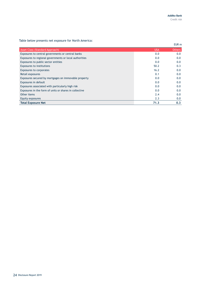Table below presents net exposure for North America:

|                                                        |            | EUR m         |
|--------------------------------------------------------|------------|---------------|
| <b>Asset Class (Standard Approach)</b>                 | <b>USA</b> | <b>Others</b> |
| Exposures to central governments or central banks      | 0.0        | 0.0           |
| Exposures to regional governments or local authorities | 0.0        | 0.0           |
| Exposures to public sector entities                    | 0.0        | 0.0           |
| <b>Exposures to institutions</b>                       | 50.2       | 0.3           |
| <b>Exposures to corporates</b>                         | 16.2       | 0.0           |
| Retail exposures                                       | 0.1        | 0.0           |
| Exposures secured by mortgages on immovable property   | 0.0        | 0.0           |
| Exposures in default                                   | 0.0        | 0.0           |
| Exposures associated with particularly high risk       | 0.0        | 0.0           |
| Exposures in the form of units or shares in collective | 0.0        | 0.0           |
| Other items                                            | 2.4        | 0.0           |
| Equity exposures                                       | 2.3        | 0.0           |
| <b>Total Exposure Net</b>                              | 71.3       | 0.3           |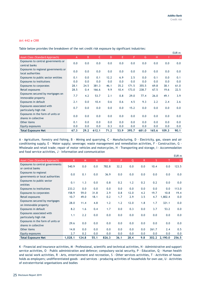#### **Art 442 e CRR**

Table below provides the breakdown of the net credit risk exposure by significant industries:

|                                                           |      |      |       |      |      |       |       |       |       | EUR m |
|-----------------------------------------------------------|------|------|-------|------|------|-------|-------|-------|-------|-------|
| Asset Class (Standard Approach)                           | A    | B    | C.    | D    | Е    | F     | G     | H.    |       |       |
| Exposures to central governments or<br>central banks      | 0.0  | 0.0  | 0.0   | 0.0  | 0.0  | 0.0   | 0.0   | 0.0   | 0.0   | 0.0   |
| Exposures to regional governments or<br>local authorities | 0.0  | 0.0  | 0.0   | 0.0  | 0.0  | 0.0   | 0.0   | 0.0   | 0.0   | 0.0   |
| Exposures to public sector entities                       | 0.1  | 0.0  | 0.1   | 12.2 | 6.9  | 2.5   | 0.0   | 0.1   | 0.0   | 0.1   |
| <b>Exposures to institutions</b>                          | 0.0  | 0.0  | 0.0   | 0.0  | 0.0  | 0.0   | 0.0   | 0.0   | 0.0   | 0.0   |
| <b>Exposures to corporates</b>                            | 28.1 | 24.5 | 381.3 | 46.1 | 35.2 | 171.5 | 355.5 | 69.8  | 38.1  | 61.0  |
| Retail exposures                                          | 28.5 | 0.4  | 166.6 | 9.9  | 10.4 | 173.0 | 238.7 | 67.5  | 19.6  | 22.5  |
| Exposures secured by mortgages on<br>immovable property   | 7.7  | 4.2  | 53.7  | 2.1  | 0.8  | 29.0  | 77.4  | 26.0  | 49.1  | 3.9   |
| Exposures in default                                      | 2.1  | 0.0  | 10.4  | 0.6  | 0.6  | 4.5   | 9.3   | 2.2   | 2.4   | 2.6   |
| Exposures associated with<br>particularly high risk       | 0.7  | 0.0  | 0.0   | 0.0  | 0.0  | 15.2  | 0.0   | 0.0   | 0.0   | 0.0   |
| Exposures in the form of units or<br>shares in collective | 0.0  | 0.0  | 0.0   | 0.0  | 0.0  | 0.0   | 0.0   | 0.0   | 0.0   | 0.0   |
| Other items                                               | 0.1  | 0.0  | 0.0   | 0.0  | 0.0  | 0.0   | 0.0   | 0.0   | 0.0   | 0.0   |
| Equity exposures                                          | 0.0  | 0.0  | 0.0   | 0.3  | 0.0  | 0.0   | 0.0   | 0.0   | 0.0   | 0.0   |
| <b>Total Exposure Net</b>                                 | 67.3 | 29.2 | 612.1 | 71.2 | 53.9 | 395.7 | 681.0 | 165.6 | 109.3 | 90.1  |

A - Agriculture, forestry and fishing, B - Mining and quarrying, C - Manufacturing, D - Electricity, gas, steam and air conditioning supply, E - Water supply; sewerage; waste management and remediation activities, F - Construction, G - Wholesale and retail trade; repair of motor vehicles and motorcycles, H - Transporting and storage, I - Accommodation and food service activities, J - Information and communication

|                                                           |         |       |      |          |      |              |     |       |         | EUR <sub>m</sub> |
|-----------------------------------------------------------|---------|-------|------|----------|------|--------------|-----|-------|---------|------------------|
| <b>Asset Class (Standard Approach)</b>                    | K.      | M     | N    | $\Omega$ | P    | $\mathsf{Q}$ | R.  | S     | т       | U                |
| Exposures to central governments<br>or central banks      | 540.9   | 0.0   | 0.0  | 782.8    | 32.2 | 0.0          | 0.0 | 10.4  | 0.0     | 123.5            |
| Exposures to regional<br>governments or local authorities | 0.0     | 0.1   | 0.0  | 36.9     | 0.0  | 0.0          | 0.0 | 0.0   | 0.0     | 0.0              |
| Exposures to public sector<br>entities                    | 0.1     | 1.3   | 0.0  | 0.8      | 0.2  | 1.2          | 0.2 | 0.2   | 0.0     | 0.0              |
| <b>Exposures to institutions</b>                          | 233.2   | 0.0   | 0.0  | 0.0      | 0.0  | 0.0          | 0.0 | 0.0   | 0.0     | 113.0            |
| <b>Exposures to corporates</b>                            | 158.9   | 59.0  | 31.8 | 2.9      | 0.8  | 12.0         | 4.2 | 19.7  | 10.8    | 19.4             |
| Retail exposures                                          | 10.7    | 49.0  | 18.1 | 0.2      | 1.7  | 2.9          | 3.5 | 4.7   | 1,802.4 | 0.0              |
| Exposures secured by mortgages<br>on immovable property   | 28.0    | 11.4  | 4.8  | 1.2      | 1.2  | 12.0         | 1.8 | 1.7   | 321.1   | 0.0              |
| Exposures in default                                      | 8.2     | 1.6   | 0.4  | 1.7      | 0.0  | 0.3          | 0.0 | 3.7   | 53.2    | 0.0              |
| Exposures associated with<br>particularly high risk       | 1.1     | 2.2   | 0.0  | 0.0      | 0.0  | 0.0          | 0.0 | 0.0   | 0.0     | 0.0              |
| Exposures in the form of units or<br>shares in collective | 29.6    | 0.0   | 0.0  | 0.0      | 0.0  | 0.0          | 0.0 | 0.0   | 0.0     | 0.0              |
| Other items                                               | 14.8    | 0.0   | 0.0  | 0.0      | 0.0  | 0.0          | 0.0 | 261.7 | 2.4     | 0.5              |
| Equity exposures                                          | 2.7     | 0.2   | 0.0  | 0.0      | 0.0  | 0.0          | 0.0 | 0.0   | 0.0     | 0.0              |
| <b>Total Exposure Net</b>                                 | 1,028.1 | 124.8 | 55.1 | 826.3    | 36.1 | 28.4         | 9.8 | 302.2 | 2,190.0 | 256.5            |

K - Financial and insurance activities, M - Professional, scientific and technical activities, N - Administrative and support service activities, O – Public administration and defence; compulsory social security, P - Education, Q - Human health and social work activities, R - Arts, entertainment and recreation, S - Other services activities, T - Activities of households as employers; undifferentiated goods - and services - producing activities of households for own use, U - Activities of extraterritorial organisations and bodies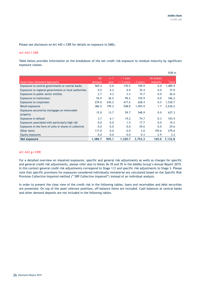Please see disclosure on Art 442 c CRR for details on exposure to SMEs.

#### **Art 442 f CRR**

Table below provides information on the breakdown of the net credit risk exposure to residual maturity by significant exposure classes.

|                                                         |                     |                  |                              |             |                       | EUR m        |
|---------------------------------------------------------|---------------------|------------------|------------------------------|-------------|-----------------------|--------------|
| <b>Asset Class (Standard Approach)</b>                  | <b>On</b><br>demand | $\leq$ 1<br>vear | $> 1$ year<br>$\leq$ 5 years | $>$ 5 years | No stated<br>maturity | <b>Total</b> |
| Exposures to central governments or central banks       | 569.4               | 0.0              | 170.5                        | 749.9       | 0.0                   | 1,489.9      |
| Exposures to regional governments or local authorities  | 0.5                 | 0.2              | 0.9                          | 35.4        | 0.0                   | 37.0         |
| Exposures to public sector entities                     | 2.7                 | 4.3              | 3.3                          | 15.7        | 0.0                   | 26.0         |
| <b>Exposures to institutions</b>                        | 54.9                | 36.2             | 99.2                         | 155.9       | 0.0                   | 346.2        |
| Exposures to corporates                                 | 239.0               | 245.2            | 417.6                        | 628.4       | 0.5                   | 1,530.7      |
| Retail exposures                                        | 386.5               | 199.2            | 548.8                        | 1,493.9     | 1.7                   | 2,630.2      |
| Exposures secured by mortgages on immovable<br>property | 15.0                | 13.7             | 59.7                         | 548.9       | 0.0                   | 637.3        |
| <b>Exposures in default</b>                             | 3.7                 | 6.1              | 19.2                         | 74.7        | 0.3                   | 103.9        |
| Exposures associated with particularly high risk        | 0.0                 | 0.0              | 1.5                          | 17.7        | 0.0                   | 19.2         |
| Exposures in the form of units or shares in collective  | 0.0                 | 0.0              | 0.0                          | 29.6        | 0.0                   | 29.6         |
| Other items                                             | 117.0               | 0.0              | 0.0                          | 3.0         | 159.6                 | 279.6        |
| Equity exposures                                        | 0.0                 | 0.0              | 0.0                          | 0.3         | 2.9                   | 3.2          |
| Net exposure                                            | 1,388.7             | 505.1            | 1,320.7                      | 3,753.3     | 165.0                 | 7,132.8      |

#### **Art 442 g-i CRR**

For a detailed overview on impaired exposures, specific and general risk adjustments as wells as charges for specific and general credit risk adjustments, please refer also to Notes 36-39 and 55 in the Addiko Group's Annual Report 2019. In this context general credit risk adjustments correspond to Stage 1/2 and specific risk adjustments to Stage 3. Please note that specific provisions for exposures considered individually immaterial are calculated based on the Specific Risk Provision Collective Impaired method (" SRP Collective Impaired") instead of an individual analysis.

In order to present the clear view of the credit risk in the following tables, loans and receivables and debt securities are presented. On top of the asset relevant positions, off-balance items are included. Cash balances at central banks and other demand deposits are not included in the following tables.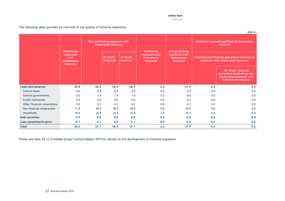Credit risk

|                              |                                                                   |      |                                                       |                              |                                                         |                                                             |     | EUR m                                                                                                          |
|------------------------------|-------------------------------------------------------------------|------|-------------------------------------------------------|------------------------------|---------------------------------------------------------|-------------------------------------------------------------|-----|----------------------------------------------------------------------------------------------------------------|
|                              |                                                                   |      | Non-performing exposures with<br>forbearance measures |                              |                                                         |                                                             |     | <b>Collateral received and financial guarantees</b><br>received                                                |
|                              | <b>Performing</b><br>exposures<br>with<br>forbearance<br>measures |      | of which:<br><b>Defaulted</b>                         | of which:<br><b>Impaired</b> | Performing<br>exposures with<br>forbearance<br>measures | Non-performing<br>exposures with<br>forbearance<br>measures |     | <b>Collateral and Financial guarantees received on</b><br>exposures with forbearance measures                  |
|                              |                                                                   |      |                                                       |                              |                                                         |                                                             |     | <b>Of which: Financial</b><br>guarantees received on non-<br>performing exposures with<br>forbearance measures |
| <b>Loans and advances</b>    | 29.8                                                              | 56.9 | 56.9                                                  | 56.9                         | $-2.2$                                                  | $-31.9$                                                     | 0.0 | 0.6                                                                                                            |
| Central banks                | 0.0                                                               | 0.0  | 0.0                                                   | 0.0                          | 0.0                                                     | 0.0                                                         | 0.0 | 0.0                                                                                                            |
| General governments          | 0.0                                                               | 1.8  | 1.8                                                   | 1.8                          | 0.0                                                     | $-0.6$                                                      | 0.0 | 0.0                                                                                                            |
| Credit institutions          | 0.0                                                               | 0.0  | 0.0                                                   | 0.0                          | 0.0                                                     | 0.0                                                         | 0.0 | 0.0                                                                                                            |
| Other financial corporations | 0.0                                                               | 0.3  | 0.3                                                   | 0.3                          | 0.0                                                     | $-0.3$                                                      | 0.0 | 0.0                                                                                                            |
| Non-financial corporations   | 11.8                                                              | 38.0 | 38.0                                                  | 38.0                         | $-0.8$                                                  | $-20.8$                                                     | 0.0 | 0.6                                                                                                            |
| <b>Households</b>            | 18.0                                                              | 16.8 | 16.8                                                  | 16.8                         | $-1.3$                                                  | $-10.3$                                                     | 0.0 | 0.0                                                                                                            |
| <b>Debt securities</b>       | 0.0                                                               | 0.0  | 0,0                                                   | 0.0                          | 0.0                                                     | 0.0                                                         | 0.0 | 0.0                                                                                                            |
| Loan commitments given       | 0.1                                                               | 0.1  | 0.0                                                   | 0,1                          | 0.0                                                     | 0.0                                                         | 0.0 | 0.0                                                                                                            |
| <b>Total</b>                 | 30.0                                                              | 57.1 | 56.9                                                  | 57.1                         | $-2.2$                                                  | $-31.9$                                                     | 0.0 | 0.6                                                                                                            |

The following table provides an overview of the quality of forborne exposures:

Please see Note 55.12 of Addiko Group's Annual Report 2019 for details on the development of forborne exposures.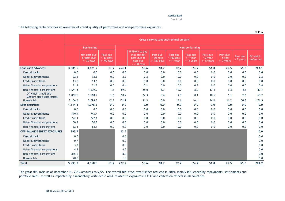Credit risk

The following table provides an overview of credit quality of performing and non-performing exposures:

|                                                        | Gross carrying amount/nominal amount |                                                     |                                           |       |                                                                                    |                                                    |                                             |                                          |                                          |                                          |                         |                        |
|--------------------------------------------------------|--------------------------------------|-----------------------------------------------------|-------------------------------------------|-------|------------------------------------------------------------------------------------|----------------------------------------------------|---------------------------------------------|------------------------------------------|------------------------------------------|------------------------------------------|-------------------------|------------------------|
|                                                        |                                      | <b>Performing</b>                                   |                                           |       |                                                                                    | Non-performing                                     |                                             |                                          |                                          |                                          |                         |                        |
|                                                        |                                      | Not past due<br>or past due<br>$\epsilon$ = 30 days | Past due<br>$> 30$ days<br>$\leq$ 90 days |       | Unlikely to pay<br>that are not<br>past-due or<br>past-due<br>$\epsilon$ = 90 days | Past due<br>$> 90 \text{ days}$<br>$\leq$ 180 days | Past due<br>$> 180$ days<br>$\leq$ = 1 year | Past due<br>$> 1$ year<br>$\leq$ 2 years | Past due<br>$> 2$ year<br>$\leq$ 5 years | Past due<br>$> 5$ year<br>$\leq$ 7 years | Past due<br>$> 7$ years | Of which:<br>defaulted |
| <b>Loans and advances</b>                              | 3,885.6                              | 3,871.7                                             | 13.9                                      | 264.1 | 58.6                                                                               | 18.7                                               | 32.2                                        | 24.9                                     | 51.8                                     | 22.5                                     | 55.6                    | 264.1                  |
| <b>Central banks</b>                                   | 0.0                                  | 0.0                                                 | 0.0                                       | 0.0   | 0.0                                                                                | 0.0                                                | 0.0                                         | 0.0                                      | 0.0                                      | 0.0                                      | 0.0                     | 0.0                    |
| General governments                                    | 92.6                                 | 92.6                                                | 0.0                                       | 2.2   | 2.2                                                                                | 0.0                                                | 0.0                                         | 0.0                                      | 0.0                                      | 0.0                                      | 0.0                     | 2.2                    |
| Credit institutions                                    | 13.6                                 | 13.6                                                | 0.0                                       | 0.0   | 0.0                                                                                | 0.0                                                | 0.0                                         | 0.0                                      | 0.0                                      | 0.0                                      | 0.0                     | 0.0                    |
| Other financial corporations                           | 31.3                                 | 31.3                                                | 0.0                                       | 0.4   | 0.1                                                                                | 0.0                                                | 0.0                                         | 0.3                                      | 0.0                                      | 0.0                                      | 0.0                     | 0.4                    |
| Non-financial corporations                             | 1,641.5                              | 1,639.9                                             | 1.6                                       | 89.7  | 25.0                                                                               | 8.7                                                | 19.7                                        | 8.2                                      | 17.1                                     | 6.2                                      | 4.8                     | 89.7                   |
| Of which: Small and<br><b>Medium-sized Enterprises</b> | 1,062.0                              | 1,060.4                                             | 1.6                                       | 68.2  | 22.3                                                                               | 8.4                                                | 9.9                                         | 8.1                                      | 10.6                                     | 6.1                                      | 2.6                     | 68.2                   |
| Households                                             | 2,106.6                              | 2,094.3                                             | 12.3                                      | 171.9 | 31.3                                                                               | 10.0                                               | 12.6                                        | 16.4                                     | 34.6                                     | 16.2                                     | 50.8                    | 171.9                  |
| <b>Debt securities</b>                                 | 1,114.3                              | 1,078.3                                             | 0.0                                       | 0.0   | 0.0                                                                                | 0.0                                                | 0.0                                         | 0.0                                      | 0.0                                      | 0.0                                      | 0.0                     | 0.0                    |
| <b>Central banks</b>                                   | 0.0                                  | 0.0                                                 | 0.0                                       | 0.0   | 0.0                                                                                | 0.0                                                | 0.0                                         | 0.0                                      | 0.0                                      | 0.0                                      | 0.0                     | 0.0                    |
| General governments                                    | 779.4                                | 743.4                                               | 0.0                                       | 0.0   | 0.0                                                                                | 0.0                                                | 0.0                                         | 0.0                                      | 0.0                                      | 0.0                                      | 0.0                     | 0.0                    |
| Credit institutions                                    | 222.1                                | 222.1                                               | 0.0                                       | 0.0   | 0.0                                                                                | 0.0                                                | 0.0                                         | 0.0                                      | 0.0                                      | 0.0                                      | 0.0                     | 0.0                    |
| Other financial corporations                           | 50.8                                 | 50.8                                                | 0.0                                       | 0.0   | 0.0                                                                                | 0.0                                                | 0.0                                         | 0.0                                      | 0.0                                      | 0.0                                      | 0.0                     | 0.0                    |
| Non-financial corporations                             | 62.1                                 | 62.1                                                | 0.0                                       | 0.0   | 0.0                                                                                | 0.0                                                | 0.0                                         | 0.0                                      | 0.0                                      | 0.0                                      | 0.0                     | 0.0                    |
| <b>OFF-BALANCE SHEET EXPOSURES</b>                     | 993.7                                |                                                     |                                           | 13.5  |                                                                                    |                                                    |                                             |                                          |                                          |                                          |                         | 0.0                    |
| <b>Central banks</b>                                   | 0.0                                  |                                                     |                                           | 0.0   |                                                                                    |                                                    |                                             |                                          |                                          |                                          |                         | 0.0                    |
| General governments                                    | 0.7                                  |                                                     |                                           | 0.0   |                                                                                    |                                                    |                                             |                                          |                                          |                                          |                         | 0.0                    |
| <b>Credit institutions</b>                             | 3.2                                  |                                                     |                                           | 0.0   |                                                                                    |                                                    |                                             |                                          |                                          |                                          |                         | 0.0                    |
| Other financial corporations                           | 4.2                                  |                                                     |                                           | 4.5   |                                                                                    |                                                    |                                             |                                          |                                          |                                          |                         | 0.0                    |
| Non-financial corporations                             | 865.6                                |                                                     |                                           | 8.0   |                                                                                    |                                                    |                                             |                                          |                                          |                                          |                         | 0.0                    |
| Households                                             | 120.0                                |                                                     |                                           | 1.0   |                                                                                    |                                                    |                                             |                                          |                                          |                                          |                         | 0.0                    |
| <b>Total</b>                                           | 5,993.7                              | 4,950.0                                             | 13.9                                      | 277.7 | 58.6                                                                               | 18.7                                               | 32.2                                        | 24.9                                     | 51.8                                     | 22.5                                     | 55.6                    | 264.2                  |

The gross NPL ratio as of December 31, 2019 amounts to 9,5%. The overall NPE stock was further reduced in 2019, mainly influenced by repayments, settlements and portfolio sales, as well as impacted by a mandatory write-off in ABSE related to exposures in CHF and collection effects in all countries.

EUR m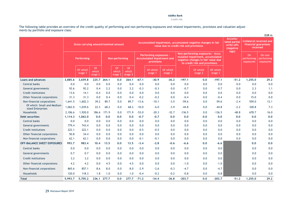Credit risk

The following table provides an overview of the credit quality of performing and non-performing exposures and related impairments, provisions and valuation adjustments by portfolio and exposure class:

|                                                  |         |                                      |                               |       |                                   |                        |                                                                                                         |                     |                     |                                                                                                                                            |                                                              |                                                             |         |                                      | EUR m                              |
|--------------------------------------------------|---------|--------------------------------------|-------------------------------|-------|-----------------------------------|------------------------|---------------------------------------------------------------------------------------------------------|---------------------|---------------------|--------------------------------------------------------------------------------------------------------------------------------------------|--------------------------------------------------------------|-------------------------------------------------------------|---------|--------------------------------------|------------------------------------|
|                                                  |         | Gross carrying amount/nominal amount |                               |       |                                   |                        | Accumulated impairment, accumulated negative changes in fair<br>value due to credit risk and provisions |                     |                     |                                                                                                                                            | Accumu-<br>lated partial<br>write-offs<br>(negative<br>sign) | Collateral received and<br>financial guarantees<br>received |         |                                      |                                    |
|                                                  |         | Performing                           |                               |       | Non-performing                    |                        | <b>Performing exposures -</b><br>Accumulated impairment and<br>provisions                               |                     |                     | Non-performing exposures - Accu-<br>mulated impairment, accumulated<br>negative changes in fair value due<br>to credit risk and provisions |                                                              |                                                             |         | <b>On</b><br>performing<br>exposures | On non-<br>performing<br>exposures |
|                                                  |         | Of which<br>stage 1                  | <b>Of</b><br>which<br>stage 2 |       | <sup>Of</sup><br>which<br>stage 2 | Of<br>which<br>stage 3 |                                                                                                         | Of which<br>stage 1 | Of which<br>stage 2 |                                                                                                                                            | Of which<br>stage 2                                          | Of which<br>stage 3                                         |         |                                      |                                    |
| <b>Loans and advances</b>                        | 3,885.6 | 3,659.8                              | 225.7                         | 264.1 | 0.0                               | 264.1                  | $-67.1$                                                                                                 | $-30.9$             | $-36.2$             | $-197.1$                                                                                                                                   | 0.0                                                          | $-197.1$                                                    | $-51.2$ | 1,255.0                              | 29.2                               |
| <b>Central banks</b>                             | 0.0     | 0.0                                  | 0.0                           | 0.0   | 0.0                               | 0.0                    | 0.0                                                                                                     | 0.0                 | 0.0                 | 0.0                                                                                                                                        | 0.0                                                          | 0.0                                                         | 0.0     | 0.0                                  | 0.0                                |
| General governments                              | 92.6    | 92.2                                 | 0.4                           | 2.2   | 0.0                               | 2.2                    | $-0.3$                                                                                                  | $-0.3$              | 0.0                 | $-0.7$                                                                                                                                     | 0.0                                                          | $-0.7$                                                      | 0.0     | 2.3                                  | 1.1                                |
| Credit institutions                              | 13.6    | 14.1                                 | $-0.4$                        | 0.0   | 0.0                               | 0.0                    | 0.0                                                                                                     | 0.0                 | 0.0                 | 0.0                                                                                                                                        | 0.0                                                          | 0.0                                                         | 0.0     | 0.0                                  | 0.0                                |
| Other financial corporations                     | 31.3    | 31.3                                 | 0.0                           | 0.4   | 0.0                               | 0.4                    | $-0.2$                                                                                                  | $-0.2$              | 0.0                 | $-0.4$                                                                                                                                     | 0.0                                                          | $-0.4$                                                      | 0.0     | 15.0                                 | 0.0                                |
| Non-financial corporations                       | 1,641.5 | 1,602.3                              | 39.2                          | 89.7  | 0.0                               | 89.7                   | $-13.6$                                                                                                 | $-10.1$             | $-3.5$              | $-59.6$                                                                                                                                    | 0.0                                                          | $-59.6$                                                     | $-2.4$  | 559.0                                | 12.1                               |
| Of which: Small and Medium-<br>sized Enterprises | 1,062.0 | 1,039.6                              | 22.3                          | 68.2  | 0.0                               | 68.2                   | $-10.0$                                                                                                 | $-6.0$              | $-3.9$              | $-44.8$                                                                                                                                    | 0.0                                                          | $-44.8$                                                     | $-2.2$  | 328.8                                | 7.3                                |
| <b>Households</b>                                | 2,106.6 | 1,920.0                              | 186.6                         | 171.9 | 0.0                               | 171.9                  | $-53.0$                                                                                                 | $-20.3$             | $-32.7$             | $-136.5$                                                                                                                                   | 0.0                                                          | $-136.5$                                                    | $-48.8$ | 678.7                                | 16.0                               |
| <b>Debt securities</b>                           | 1,114.3 | 1,062.0                              | 0.0                           | 0.0   | 0.0                               | 0.0                    | $-0.7$                                                                                                  | $-0.7$              | 0.0                 | 0.0                                                                                                                                        | 0.0                                                          | 0.0                                                         | 0.0     | 0.0                                  | 0.0                                |
| <b>Central banks</b>                             | 0.0     | 0.0                                  | 0.0                           | 0.0   | 0.0                               | 0.0                    | 0.0                                                                                                     | 0.0                 | 0.0                 | 0.0                                                                                                                                        | 0.0                                                          | 0.0                                                         | 0.0     | 0.0                                  | 0.0                                |
| General governments                              | 779.4   | 743.4                                | 0.0                           | 0.0   | 0.0                               | 0.0                    | 0.0                                                                                                     | 0.0                 | 0.0                 | 0.0                                                                                                                                        | 0.0                                                          | 0.0                                                         | 0.0     | 0.0                                  | 0.0                                |
| Credit institutions                              | 222.1   | 222.1                                | 0.0                           | 0.0   | 0.0                               | 0.0                    | $-0.5$                                                                                                  | $-0.5$              | 0.0                 | 0.0                                                                                                                                        | 0.0                                                          | 0.0                                                         | 0.0     | 0.0                                  | 0.0                                |
| Other financial corporations                     | 50.8    | 34.4                                 | 0.0                           | 0.0   | 0.0                               | 0.0                    | 0.0                                                                                                     | 0.0                 | 0.0                 | 0.0                                                                                                                                        | 0.0                                                          | 0.0                                                         | 0.0     | 0.0                                  | 0.0                                |
| Non-financial corporations                       | 62.1    | 62.1                                 | 0.0                           | 0.0   | 0.0                               | 0.0                    | $-0.1$                                                                                                  | $-0.1$              | 0.0                 | 0.0                                                                                                                                        | 0.0                                                          | 0.0                                                         | 0.0     | 0.0                                  | 0.0                                |
| <b>OFF-BALANCE SHEET EXPOSURES</b>               | 993.7   | 983.4                                | 10.4                          | 13.5  | 0.0                               | 13.5                   | $-3.4$                                                                                                  | $-2.8$              | $-0.6$              | -6.6                                                                                                                                       | 0.0                                                          | $-6.6$                                                      |         | 0.0                                  | 0.0                                |
| Central banks                                    | 0.0     | 0.0                                  | 0.0                           | 0.0   | 0.0                               | 0.0                    | 0.0                                                                                                     | 0.0                 | 0.0                 | 0.0                                                                                                                                        | 0.0                                                          | 0.0                                                         |         | 0.0                                  | 0.0                                |
| General governments                              | 0.7     | 0.7                                  | 0.0                           | 0.0   | 0.0                               | 0.0                    | 0.0                                                                                                     | 0.0                 | 0.0                 | 0.0                                                                                                                                        | 0.0                                                          | 0.0                                                         |         | 0.0                                  | 0.0                                |
| Credit institutions                              | 3.2     | 3.2                                  | 0.0                           | 0.0   | 0.0                               | 0.0                    | 0.0                                                                                                     | 0.0                 | 0.0                 | 0.0                                                                                                                                        | 0.0                                                          | 0.0                                                         |         | 0.0                                  | 0.0                                |
| Other financial corporations                     | 4.2     | 4.2                                  | 0.0                           | 4.5   | 0.0                               | 4.5                    | 0.0                                                                                                     | 0.0                 | 0.0                 | $-1.0$                                                                                                                                     | 0.0                                                          | $-1.0$                                                      |         | 0.0                                  | 0.0                                |
| Non-financial corporations                       | 865.6   | 857.1                                | 8.6                           | 8.0   | 0.0                               | 8.0                    | $-2.9$                                                                                                  | $-2.6$              | $-0.3$              | $-4.7$                                                                                                                                     | 0.0                                                          | $-4.7$                                                      |         | 0.0                                  | 0.0                                |
| Households                                       | 120.0   | 118.3                                | 1.8                           | 1.0   | 0.0                               | 1.0                    | $-0.4$                                                                                                  | $-0.2$              | $-0.2$              | $-0.8$                                                                                                                                     | 0.0                                                          | $-0.8$                                                      |         | 0.0                                  | 0.0                                |
| <b>Total</b>                                     | 5,993.7 | 5,705.2                              | 236.1                         | 277.7 | 0.0                               | 277.7                  | $-71.2$                                                                                                 | $-34.4$             | $-36.8$             | $-203.7$                                                                                                                                   | 0.0                                                          | $-203.7$                                                    | $-51.2$ | 1,255.0                              | 29.2                               |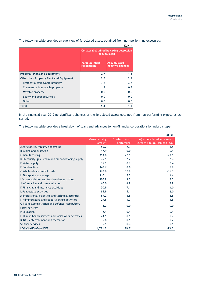|                                         |                                                         | EUR <sub>m</sub>                |  |  |  |  |
|-----------------------------------------|---------------------------------------------------------|---------------------------------|--|--|--|--|
|                                         | Collateral obtained by taking possession<br>accumulated |                                 |  |  |  |  |
|                                         | Value at initial<br>recognition                         | Accumulated<br>negative changes |  |  |  |  |
| Property, Plant and Equipment           | 2.7                                                     | 1.5                             |  |  |  |  |
| Other than Property Plant and Equipment | 8.7                                                     | 3.5                             |  |  |  |  |
| Residential immovable property          | 7.4                                                     | 2.7                             |  |  |  |  |
| Commercial immovable property           | 1.3                                                     | 0.8                             |  |  |  |  |
| Movable property                        | 0.0                                                     | 0.0                             |  |  |  |  |
| Equity and debt securities              | 0.0                                                     | 0.0                             |  |  |  |  |
| Other                                   | 0.0                                                     | 0.0                             |  |  |  |  |
| <b>Total</b>                            | 11.4                                                    | 5.1                             |  |  |  |  |

The following table provides an overview of foreclosed assets obtained from non-performing exposures:

In the financial year 2019 no significant changes of the foreclosed assets obtained from non-performing exposures occurred.

The following table provides a breakdown of loans and advances to non-financial corporations by industry type:

|                                                       |                       |                | EUR <sub>m</sub>               |
|-------------------------------------------------------|-----------------------|----------------|--------------------------------|
|                                                       | <b>Gross carrying</b> | Of which: non- | (-) Accumulated impairment     |
|                                                       | amount                | performing     | (Stages 1 to 3), included POCI |
| A Agriculture, forestry and fishing                   | 50.2                  | 2.3            | $-1.5$                         |
| B Mining and quarrying                                | 17.9                  | 0.0            | $-0.1$                         |
| C Manufacturing                                       | 453.8                 | 27.5           | $-23.5$                        |
| D Electricity, gas, steam and air conditioning supply | 45.5                  | 2.2            | $-2.4$                         |
| E Water supply                                        | 15.9                  | 0.7            | $-0.4$                         |
| <b>F</b> Construction                                 | 140.7                 | 8.0            | $-7.6$                         |
| G Wholesale and retail trade                          | 470.6                 | 17.6           | $-15.1$                        |
| H Transport and storage                               | 110.1                 | 5.2            | $-4.6$                         |
| LAccommodation and food service activities            | 107.8                 | 3.2            | $-2.3$                         |
| J Information and communication                       | 60.0                  | 4.8            | $-2.8$                         |
| K Financial and insurance activities                  | 30.9                  | 7.1            | $-4.0$                         |
| L Real estate activities                              | 85.9                  | 5.1            | $-2.0$                         |
| M Professional, scientific and technical activities   | 69.2                  | 3.8            | $-3.8$                         |
| N Administrative and support service activities       | 29.6                  | 1.3            | $-1.5$                         |
| O Public administration and defence, compulsory       | 3.2                   | 0.0            | $-0.0$                         |
| social security                                       |                       |                |                                |
| P Education                                           | 2.4                   | 0.1            | $-0.1$                         |
| Q Human health services and social work activities    | 24.1                  | 0.5            | $-0.7$                         |
| R Arts, entertainment and recreation                  | 6.8                   | 0.1            | $-0.2$                         |
| S Other services                                      | 6.5                   | 0.4            | $-0.5$                         |
| <b>LOANS AND ADVANCES</b>                             | 1,731.2               | 89.7           | $-73.2$                        |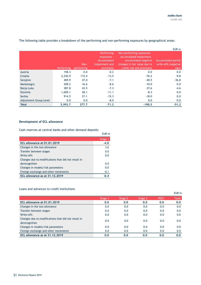|                        |            |                    |                                                                          |                                                                                                                                             | EUR <sub>m</sub>                                            |
|------------------------|------------|--------------------|--------------------------------------------------------------------------|---------------------------------------------------------------------------------------------------------------------------------------------|-------------------------------------------------------------|
|                        | Performing | Non-<br>performing | Performing<br>exposures -<br>Accumulated<br>impairment and<br>provisions | Non-performing exposures -<br>Accumulated impairment,<br>accumulated negative<br>changes in fair value due to<br>credit risk and provisions | <b>Accumulated partial</b><br>write-offs (negative<br>sign) |
| Austria                | 158.3      | 0.0                | $-0.2$                                                                   | 0.0                                                                                                                                         | 0.0                                                         |
| Croatia                | 2,245.9    | 115.4              | $-13.5$                                                                  | $-76.2$                                                                                                                                     | $-9.8$                                                      |
| Sarajevo               | 469.9      | 47.0               | $-7.1$                                                                   | $-40.5$                                                                                                                                     | $-36.8$                                                     |
| Montenegro             | 208.2      | 16.6               | $-8.6$                                                                   | $-10.0$                                                                                                                                     | 0.0                                                         |
| Banja Luka             | 387.8      | 43.5               | $-7.3$                                                                   | $-37.6$                                                                                                                                     | $-4.6$                                                      |
| Slovenia               | 1,609.1    | 28.1               | $-11.1$                                                                  | $-8.3$                                                                                                                                      | 0.0                                                         |
| Serbia                 | 914.5      | 27.1               | $-15.3$                                                                  | $-18.0$                                                                                                                                     | 0.0                                                         |
| Adjustment Group Level | 0.0        | 0.0                | $-8.0$                                                                   | 0.0                                                                                                                                         | 0.0                                                         |
| <b>Total</b>           | 5,993.7    | 277.7              | $-71.2$                                                                  | $-190.5$                                                                                                                                    | $-51.2$                                                     |

The following table provides a breakdown of the performing and non-performing exposures by geographical areas:

## **Development of ECL allowance**

Cash reserves at central banks and other demand deposits

|                                                     | EUR m   |
|-----------------------------------------------------|---------|
|                                                     | Stage 1 |
| ECL allowance at 01.01.2019                         | $-4.0$  |
| Changes in the loss allowance                       | 3.6     |
| Transfer between stages                             | 0.0     |
| Write-offs                                          | 0.0     |
| Changes due to modifications that did not result in |         |
| derecognition                                       | 0.0     |
| Changes in models/risk parameters                   | 0.0     |
| Foreign exchange and other movements                | $-0.1$  |
| ECL allowance as at 31.12.2019                      | $-0.4$  |

#### Loans and advances to credit institutions

|                                                                      |         |         |         |             | EUR m        |
|----------------------------------------------------------------------|---------|---------|---------|-------------|--------------|
|                                                                      | Stage 1 | Stage 2 | Stage 3 | <b>POCI</b> | <b>Total</b> |
| ECL allowance at 01.01.2019                                          | 0.0     | 0.0     | 0.0     | 0.0         | 0.0          |
| Changes in the loss allowance                                        | 0.0     | 0.0     | 0.0     | 0.0         | 0.0          |
| Transfer between stages                                              | 0.0     | 0.0     | 0.0     | 0.0         | 0.0          |
| Write-offs                                                           | 0.0     | 0.0     | 0.0     | 0.0         | 0.0          |
| Changes due to modifications that did not result in<br>derecognition | 0.0     | 0.0     | 0.0     | 0.0         | 0.0          |
| Changes in models/risk parameters                                    | 0.0     | 0.0     | 0.0     | 0.0         | 0.0          |
| Foreign exchange and other movements                                 | 0.0     | 0.0     | 0.0     | 0.0         | 0.0          |
| ECL allowance as at 31.12.2019                                       | 0.0     | 0.0     | 0.0     | 0.0         | 0.0          |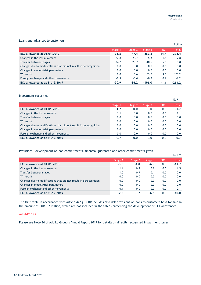#### Loans and advances to customers

|                                                                   |         |         |          |             | EUR m        |
|-------------------------------------------------------------------|---------|---------|----------|-------------|--------------|
|                                                                   | Stage 1 | Stage 2 | Stage 3  | <b>POCI</b> | <b>Total</b> |
| <b>ECL allowance at 01.01.2019</b>                                | $-33.8$ | $-47.4$ | $-282.8$ | $-14.4$     | $-378.4$     |
| Changes in the loss allowance                                     | 27.8    | $-28.7$ | $-5.4$   | $-1.5$      | $-7.8$       |
| Transfer between stages                                           | $-24.7$ | 29.7    | $-10.5$  | 5.5         | 0.0          |
| Changes due to modifications that did not result in derecognition | 0.0     | 0.0     | 0.0      | 0.0         | 0.0          |
| Changes in models/risk parameters                                 | 0.0     | 0.0     | 0.0      | 0.0         | 0.0          |
| Write-offs                                                        | 0.0     | 10.6    | 103.0    | 9.5         | 123.2        |
| Foreign exchange and other movements                              | $-0.3$  | $-0.4$  | $-0.3$   | $-0.2$      | $-1.2$       |
| ECL allowance as at 31.12.2019                                    | $-30.9$ | $-36.2$ | $-196.0$ | $-1.1$      | $-264.2$     |

#### Investment securities

|                                                                   |         |         |         |             | EUR m        |
|-------------------------------------------------------------------|---------|---------|---------|-------------|--------------|
|                                                                   | Stage 1 | Stage 2 | Stage 3 | <b>POCI</b> | <b>Total</b> |
| ECL allowance at 01.01.2019                                       | $-1.7$  | 0.0     | 0.0     | 0.0         | $-1.7$       |
| Changes in the loss allowance                                     | 1.1     | 0.0     | 0.0     | 0.0         | 1.1          |
| Transfer between stages                                           | 0.0     | 0.0     | 0.0     | 0.0         | 0.0          |
| Write-offs                                                        | 0.0     | 0.0     | 0.0     | 0.0         | 0.0          |
| Changes due to modifications that did not result in derecognition | 0.0     | 0.0     | 0.0     | 0.0         | 0.0          |
| Changes in models/risk parameters                                 | 0.0     | 0.0     | 0.0     | 0.0         | 0.0          |
| Foreign exchange and other movements                              | 0.0     | 0.0     | 0.0     | 0.0         | 0.0          |
| ECL allowance as at 31.12.2019                                    | $-0.7$  | 0.0     | 0.0     | 0.0         | $-0.7$       |

#### Provisions – development of loan commitments, financial guarantee and other commitments given

|                                                                   |         |         |         |             | EUR m        |
|-------------------------------------------------------------------|---------|---------|---------|-------------|--------------|
|                                                                   | Stage 1 | Stage 2 | Stage 3 | <b>POCI</b> | <b>Total</b> |
| ECL allowance at 01.01.2019                                       | $-3.0$  | $-1.8$  | $-6.9$  | 0.0         | $-11.7$      |
| Changes in the loss allowance                                     | 1.1     | 0.3     | 0.2     | 0.0         | 1.5          |
| Transfer between stages                                           | $-1.0$  | 0.9     | 0.1     | 0.0         | 0.0          |
| Write-offs                                                        | 0.0     | 0.0     | 0.0     | 0.0         | 0.0          |
| Changes due to modifications that did not result in derecognition | 0.0     | 0.0     | 0.0     | 0.0         | 0.0          |
| Changes in models/risk parameters                                 | 0.0     | 0.0     | 0.0     | 0.0         | 0.0          |
| Foreign exchange and other movements                              | 0.1     | 0.0     | 0.0     | 0.0         | 0.1          |
| ECL allowance as at 31.12.2019                                    | $-2.8$  | $-0.7$  | $-6.6$  | 0.0         | $-10.0$      |

The first table in accordance with Article 442 g-i CRR includes also risk provisions of loans to customers held for sale in the amount of EUR 0.2 million, which are not included in the tables presenting the development of ECL allowances.

#### **Art 442 CRR**

Please see Note 34 of Addiko Group's Annual Report 2019 for details on directly recognised impairment losses.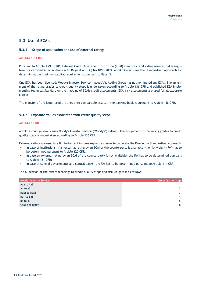# <span id="page-32-0"></span>**5.3 Use of ECAIs**

#### **5.3.1 Scope of application and use of external ratings**

#### **Art 444 a-d CRR**

Pursuant to Article 4 (98) CRR, External Credit Assessment Institution (ECAI) means a credit rating agency that is registered or certified in accordance with Regulation (EC) No 1060/2009. Addiko Group uses the Standardised Approach for determining the minimum capital requirements pursuant to Basel 3.

One ECAI has been licensed: Moody's Investor Service ("Moody's"). Addiko Group has not nominated any ECAs. The assignment of the rating grades to credit quality steps is undertaken according to Article 136 CRR and published EBA Implementing technical Standard on the mapping of ECAIs credit assessments. ECAI risk assessments are used for all exposure classes.

The transfer of the issuer credit ratings onto comparable assets in the banking book is pursuant to Article 138 CRR.

#### **5.3.2 Exposure values associated with credit quality steps**

#### **Art 444 e CRR**

Addiko Group generally uses Moody's Investor Service ("Moody's") ratings. The assignment of the rating grades to credit quality steps is undertaken according to Article 136 CRR.

External ratings are used to a limited extent in some exposure classes to calculate the RWA in the Standardised Approach:

- in case of institutions, if an external rating by an ECAI of the counterparty is available, the risk weight (RW) has to be determined pursuant to Article 120 CRR;
- in case an external rating by an ECAI of the counterparty is not available, the RW has to be determined pursuant to Article 121 CRR;
- in case of central governments and central banks, the RW has to be determined pursuant to Article 114 CRR

The allocation of the external ratings to credit quality steps and risk weights is as follows:

| <b>Moody's Investor Service</b> | <b>Credit Quality Step</b> |
|---------------------------------|----------------------------|
| Aaa to Aa3                      |                            |
| A1 to A3                        |                            |
| Baa1 to Baa3                    | ર                          |
| Ba1 to Ba3                      | $\overline{4}$             |
| B1 to B3                        | 5                          |
| Caa1 and below                  | - 6                        |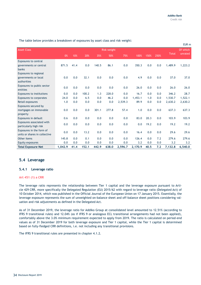|                                                           |         |      |       |       |                    |         |         |      |      |              | EUR <sub>m</sub> |
|-----------------------------------------------------------|---------|------|-------|-------|--------------------|---------|---------|------|------|--------------|------------------|
| <b>Asset Class</b>                                        |         |      |       |       | <b>Risk weight</b> |         |         |      |      |              | Of which         |
|                                                           | 0%      | 10%  | 20%   | 35%   | 50%                | 75%     | 100%    | 150% | 250% | <b>Total</b> | unrated          |
| <b>Exposures to central</b>                               |         |      |       |       |                    |         |         |      |      |              |                  |
| governments or central<br>banks                           | 871.5   | 41.4 | 0.0   | 140.5 | 86.1               | 0.0     | 350.3   | 0.0  | 0.0  | 1,489.9      | 1,223.2          |
| Exposures to regional                                     |         |      |       |       |                    |         |         |      |      |              |                  |
| governments or local<br>authorities                       | 0.0     | 0.0  | 32.1  | 0.0   | 0.0                | 0.0     | 4.9     | 0.0  | 0.0  | 37.0         | 37.0             |
| Exposures to public sector<br>entities                    | 0.0     | 0.0  | 0.0   | 0.0   | 0.0                | 0.0     | 26.0    | 0.0  | 0.0  | 26.0         | 26.0             |
| Exposures to institutions                                 | 0.0     | 0.0  | 100.2 | 1.3   | 228.0              | 0.0     | 16.7    | 0.0  | 0.0  | 346.2        | 28.7             |
| <b>Exposures to corporates</b>                            | 24.0    | 0.0  | 6.5   | 0.0   | 46.2               | 0.0     | 1,453.1 | 1.0  | 0.0  | 1.530.7      | 1,522.1          |
| Retail exposures                                          | 1.0     | 0.0  | 0.0   | 0.0   | 0.0                | 2,539.3 | 89.9    | 0.0  | 0.0  | 2,630.2      | 2,630.2          |
| Exposures secured by                                      |         |      |       |       |                    |         |         |      |      |              |                  |
| mortgages on immovable<br>property                        | 0.0     | 0.0  | 0.0   | 301.1 | 277.8              | 57.4    | 1.0     | 0.0  | 0.0  | 637.3        | 637.3            |
| Exposures in default                                      | 0.6     | 0.0  | 0.0   | 0.0   | 0.0                | 0.0     | 83.0    | 20.3 | 0.0  | 103.9        | 103.9            |
| Exposures associated with<br>particularly high risk       | 0.0     | 0.0  | 0.0   | 0.0   | 0.0                | 0.0     | 0.0     | 19.2 | 0.0  | 19.2         | 19.2             |
| Exposures in the form of<br>units or shares in collective | 0.0     | 0.0  | 13.2  | 0.0   | 0.0                | 0.0     | 16.4    | 0.0  | 0.0  | 29.6         | 29.6             |
| Other items                                               | 145.8   | 0.0  | 0.1   | 0.0   | 0.0                | 0.0     | 126.4   | 0.0  | 7.2  | 279.6        | 279.6            |
| Equity exposures                                          | 0.0     | 0.0  | 0.0   | 0.0   | 0.0                | 0.0     | 3.2     | 0.0  | 0.0  | 3.2          | 3.2              |
| <b>Total Exposure Net</b>                                 | 1,042.9 | 41.4 | 152.1 | 442.9 | 638.0              | 2,596.7 | 2,170.9 | 40.5 | 7.2  | 7,132.8      | 6,540.0          |

The table below provides a breakdown of exposures by asset class and risk weight:

# <span id="page-33-0"></span>**5.4 Leverage**

#### **5.4.1 Leverage ratio**

#### **Art 451 (1) a CRR**

The leverage ratio represents the relationship between Tier 1 capital and the leverage exposure pursuant to Article 429 CRR, more specifically the Delegated Regulation (EU) 2015/62 with regard to leverage ratio (Delegated Act) of 10 October 2014, which was published in the Official Journal of the European Union on 17 January 2015. Essentially, the leverage exposure represents the sum of unweighted on-balance sheet and off-balance sheet positions considering valuation and risk adjustments as defined in the Delegated Act.

As of 31 December 2019, the leverage ratio for Addiko Group at consolidated level amounted to 12.51% (according to IFRS 9 transitional rules) and 12.04% (as if IFRS 9 or analogous ECL transitional arrangements had not been applied), comfortably above the 3.0% minimum requirement expected to apply from 2019. The ratio is calculated on period-end values as of 31 December 2019 for both leverage exposure and Tier 1 capital, while the Tier 1 capital is determined based on fully-fledged CRR definitions, i.e. not including any transitional provisions.

The IFRS 9 transitional rules are presented in chapter 4.1.2.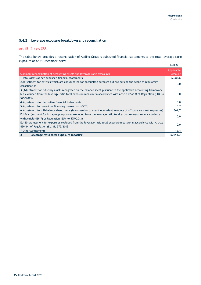## **5.4.2 Leverage exposure breakdown and reconciliation**

#### **Art 451 (1) a-c CRR**

The table below provides a reconciliation of Addiko Group's published financial statements to the total leverage ratio exposure as of 31 December 2019:

|                                                                                                                                                                        | EUR m                |
|------------------------------------------------------------------------------------------------------------------------------------------------------------------------|----------------------|
| Summary reconciliation of accounting assets and leverage ratio exposures                                                                                               | Applicable<br>Amount |
| 1 Total assets as per published financial statements                                                                                                                   | 6,083.6              |
| 2 Adjustment for entities which are consolidated for accounting purposes but are outside the scope of regulatory<br>consolidation                                      | 0.0                  |
| 3 (Adjustment for fiduciary assets recognised on the balance sheet pursuant to the applicable accounting framework                                                     |                      |
| but excluded from the leverage ratio total exposure measure in accordance with Article 429(13) of Regulation (EU) No                                                   | 0.0                  |
| 575/2013)                                                                                                                                                              |                      |
| 4 Adjustments for derivative financial instruments                                                                                                                     | 0.0                  |
| 5 Adjustment for securities financing transactions (SFTs)                                                                                                              | 8.7                  |
| 6 Adjustment for off-balance sheet items (ie conversion to credit equivalent amounts of off-balance sheet exposures)                                                   | 361,7                |
| EU-6a Adjustment for intragroup exposures excluded from the leverage ratio total exposure measure in accordance<br>with Article 429(7) of Regulation (EU) No 575/2013) | 0,0                  |
| EU-6b (Adjustment for exposures excluded from the leverage ratio total exposure measure in accordance with Article                                                     | 0,0                  |
| 429(14) of Regulation (EU) No 575/2013)                                                                                                                                |                      |
| 7 Other Adjustments                                                                                                                                                    | $-12,4$              |
| Leverage ratio total exposure measure<br>8                                                                                                                             | 6.441,7              |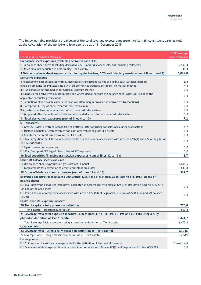The following table provides a breakdown of the total leverage exposure measure into its main constituent parts as well as the calculation of the period-end leverage ratio as of 31 December 2019:

|                                                                                                                         | <b>CRR</b> leverage |
|-------------------------------------------------------------------------------------------------------------------------|---------------------|
| Leverage ratio common disclosure                                                                                        | ratio exposures     |
| On-balance sheet exposures (excluding derivatives and SFTs)                                                             |                     |
| 1 On-balance sheet items (excluding derivatives, SFTs and fiduciary assets, but including collateral)                   | 6,109.4             |
| 2 (Asset amounts deducted in determining Tier 1 capital)                                                                | $-45.4$             |
| 3 Total on-balance sheet exposures (excluding derivatives, SFTs and fiduciary assets) (sum of lines 1 and 2)            | 6,064.0             |
| Derivative exposures                                                                                                    |                     |
| 4 Replacement cost associated with all derivatives transactions (ie net of eligible cash variation margin)              | 2.4                 |
| 5 Add-on amounts for PFE associated with all derivatives transactions (mark-to-market method)                           | 4,8                 |
| EU-5a Exposure determined under Original Exposure Method                                                                | 0,0                 |
| 6 Gross-up for derivatives collateral provided where deducted from the balance sheet assets pursuant to the             | 0,0                 |
| applicable accounting framework                                                                                         |                     |
| 7 (Deductions of receivables assets for cash variation margin provided in derivatives transactions)                     | 0,0                 |
| 8 (Exempted CCP leg of client-cleared trade exposures)                                                                  | 0,0                 |
| 9 Adjusted effective notional amount of written credit derivatives                                                      | 0,0                 |
| 10 (Adjusted effective notional offsets and add-on deductions for written credit derivatives)                           | 0,0                 |
| 11 Total derivatives exposures (sum of lines 4 to 10)                                                                   | 7,2                 |
| <b>SFT exposures</b>                                                                                                    |                     |
| 12 Gross SFT assets (with no recognition of netting), after adjusting for sales accounting transactions                 | 8,7                 |
| 13 (Netted amounts of cash payables and cash receivables of gross SFT assets)                                           | 0,0                 |
| 14 Counterparty credit risk exposure for SFT assets                                                                     | 0,0                 |
| EU-14a Derogation for SFTs: Counterparty credit risk exposure in accordance with Articles 429b(4) and 222 of Regulation | 0,0                 |
| (EU) No 575/2013                                                                                                        |                     |
| 15 Agent transaction exposures                                                                                          | 0,0                 |
| EU-15a (Exempted CCP leg of client-cleared SFT exposure)                                                                | 0,0                 |
| 16 Total securities financing transaction exposures (sum of lines 12 to 15a)                                            | 8,7                 |
| Other off-balance sheet exposures                                                                                       |                     |
| 17 Off-balance sheet exposures at gross notional amount                                                                 | 1.005,5             |
| 18 (Adjustments for conversion to credit equivalent amounts)                                                            | $-643,8$            |
| 19 Other off-balance sheet exposures (sum of lines 17 and 18)                                                           | 361,7               |
| Exempted exposures in accordance with Article 429(7) and (14) of Regulation (EU) No 575/2013 (on and off                |                     |
| balance sheet)                                                                                                          |                     |
| EU-19a (Intragroup exposures (solo basis) exempted in accordance with Article 429(7) of Regulation (EU) No 575/2013     |                     |
| (on and off balance sheet))                                                                                             | 0,0                 |
| EU-19b (Exposures exempted in accordance with Article 429 (14) of Regulation (EU) No 575/2013 (on and off balance       | 0,0                 |
| sheet))                                                                                                                 |                     |
| Capital and total exposure measure                                                                                      |                     |
| 20 Tier 1 capital - fully phased-in definition                                                                          | 775,8               |
| Tier 1 capital - transitional definition                                                                                | 809,8               |
| 21 Leverage ratio total exposure measure (sum of lines 3, 11, 16, 19, EU-19a and EU-19b) using a fully                  |                     |
| phased-in definition of Tier 1 capital                                                                                  | 6.441,7             |
| Total Leverage Ratio exposure - using a transitional definition of Tier 1 capital                                       | 6.475,8             |
| Leverage ratio                                                                                                          |                     |
| 22 Leverage ratio - using a fully phased-in definition of Tier 1 capital                                                | 12,04%              |
| 22 Leverage Ratio - using a transitional definition of Tier 1 capital                                                   | 12,51%              |
| Leverage ratio                                                                                                          |                     |
| EU-23 Choice on transitional arrangements for the definition of the capital measure                                     | Transitional        |
| EU-24 Amount of derecognised fiduciary items in accordance with Article 429(11) of Regulation (EU) No 575/2013          | 0,0                 |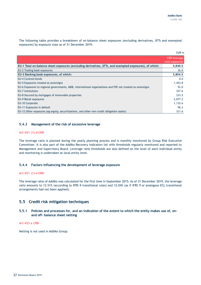The following table provides a breakdown of on-balance sheet exposures (excluding derivatives, SFTs and exempted exposures) by exposure class as of 31 December 2019:

|                                                                                                            | EUR m                                  |
|------------------------------------------------------------------------------------------------------------|----------------------------------------|
|                                                                                                            | <b>CRR</b> leverage<br>ratio exposures |
| EU-1 Total on-balance sheet exposures (excluding derivatives, SFTs, and exempted exposures), of which:     | 5,840.5                                |
| EU-2 Trading book exposures                                                                                | 36.0                                   |
| EU-3 Banking book exposures, of which:                                                                     | 5,804.5                                |
| <b>EU-4 Covered bonds</b>                                                                                  | 0.0                                    |
| EU-5 Exposures treated as sovereigns                                                                       | 1,453.8                                |
| EU-6 Exposures to regional governments, MDB, international organisations and PSE not treated as sovereigns | 52.0                                   |
| <b>EU-7 Institutions</b>                                                                                   | 327.6                                  |
| EU-8 Secured by mortgages of immovable properties                                                          | 333.5                                  |
| EU-9 Retail exposures                                                                                      | 2,077.2                                |
| EU-10 Corporate                                                                                            | 1,132.6                                |
| EU-11 Exposures in default                                                                                 | 96.2                                   |
| EU-12 Other exposures (eg equity, securitisations, and other non-credit obligation assets)                 | 331.6                                  |

#### **5.4.3 Management of the risk of excessive leverage**

#### **Art 451 (1) d CRR**

The leverage ratio is planned during the yearly planning process and is monthly monitored by Group Risk Executive Committee. It is also part of the Addiko Recovery Indicators list with thresholds regularly monitored and reported to Management and Supervisory Board. Leverage ratio thresholds are also defined on the level of each individual entity and monitoring is undertaken at local entity level.

#### **5.4.4 Factors influencing the development of leverage exposure**

#### **Art 451 (1) e CRR**

The leverage ratio of Addiko was calculated for the first time in September 2015. As of 31 December 2019, the leverage ratio amounts to 12.51% (according to IFRS 9 transitional rules) and 12.04% (as if IFRS 9 or analogous ECL transitional arrangements had not been applied).

## <span id="page-36-0"></span>**5.5 Credit risk mitigation techniques**

#### **5.5.1 Policies and processes for, and an indication of the extent to which the entity makes use of, onand off- balance sheet netting**

#### **Art 453 a CRR**

Netting is not used in Addiko Group.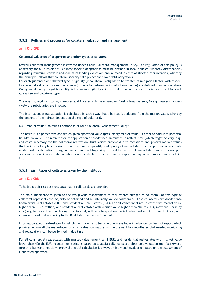#### **5.5.2 Policies and processes for collateral valuation and management**

#### **Art 453 b CRR**

#### **Collateral valuation of properties and other types of collateral**

Overall collateral management is covered under Group Collateral Management Policy. The regulation of this policy is obligatory for all subsidiaries. Country-specific adaptations must be defined in local policies, whereby discrepancies regarding minimum standard and maximum lending values are only allowed in cases of stricter interpretation, whereby the principle follows that collateral security take precedence over debt obligations.

For each guarantee or collateral type, eligibility (if collateral is eligible to be treated as mitigation factor, with respective internal value) and valuation criteria (criteria for determination of internal value) are defined in Group Collateral Management Policy. Legal feasibility is the main eligibility criteria, but there are others precisely defined for each guarantee and collateral type.

The ongoing legal monitoring is ensured and in cases which are based on foreign legal systems, foreign lawyers, respectively the subsidiaries are involved.

The internal collateral valuation is calculated in such a way that a haircut is deducted from the market value, whereby the amount of the haircut depends on the type of collateral.

ICV = Market value \* haircut as defined in "Group Collateral Management Policy"

The haircut is a percentage applied on given appraised value (presumably market value) in order to calculate potential liquidation value. The main reason for application of predefined haircuts is to reflect time (which might be very long) and costs necessary for the collateral realization, fluctuations present due to recessions and general market values fluctuations in long term period, as well as limited quantity and quality of market data for the purpose of adequate market value calculation, using comparison methodology. Very often it happens that market data are either not present/not present in acceptable number or not available for the adequate comparison purpose and market value obtaining.

#### **5.5.3 Main types of collateral taken by the institution**

#### **Art 453 c CRR**

To hedge credit risk positions sustainable collaterals are provided.

The main importance is given to the group-wide management of real estates pledged as collateral, as this type of collateral represents the majority of obtained and all internally valued collaterals. These collaterals are divided into Commercial Real Estates (CRE) and Residential Real Estates (RRE). For all commercial real estates with market value higher than EUR 1 million, and residential real-estates with market value higher than 400 ths EUR, individual (case by case) regular periodical monitoring is performed, with aim to question market value and see if it is valid. If not, new appraisal is ordered according to the Real Estate Valuation Standard.

Information about real-estates for which monitoring is to become due is available in advance, on basis of report which provides info on all the real estates for which valuation matures within the next four months, so that needed monitoring and revaluations can be performed in due time.

For all commercial real estates with market value lower than 1 EUR, and residential real-estates with market value lower than 400 ths EUR, regular monitoring is based on a statistically validated electronic valuation tool (Marktwertfortschreibungsmethode), whereby the initial calculation is always an individual evaluation based on the assessment of a qualified appraiser.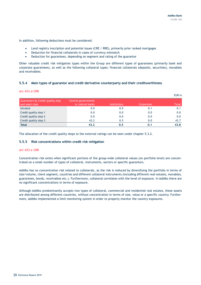In addition, following deductions must be considered:

- Land registry inscription and potential issues (CRE / RRE), primarily prior ranked mortgages
- Deduction for financial collaterals in cases of currency mismatch
- Deduction for guarantees, depending on segment and rating of the guarantor

Other valuable credit risk mitigation types within the Group are different types of guarantees (primarily bank and corporate guarantees), as well as the following collateral types: financial collaterals (deposits, securities), movables and receivables.

#### **5.5.4 Main types of guarantor and credit derivative counterparty and their creditworthiness**

#### **Art 453 d CRR**

|                                                             |                                         |                     |            | EUR <sub>m</sub> |
|-------------------------------------------------------------|-----------------------------------------|---------------------|------------|------------------|
| <b>Guarantors by Credit quality step</b><br>and asset class | Central governments<br>or central banks | <b>Institutions</b> | Corporates | Total            |
| Unrated                                                     | 0.0                                     | 0.0                 | 0.1        | 0.1              |
| Credit quality step 1                                       | 0.0                                     | 0.0                 | 0.0        | 0.0              |
| Credit quality step 2                                       | 0.0                                     | 0.0                 | 0.0        | 0.0              |
| Credit quality step 3                                       | 43.2                                    | 0.5                 | 0.0        | 43.7             |
| <b>Total</b>                                                | 43.2                                    | 0.5                 |            | 43.8             |

The allocation of the credit quality steps to the external ratings can be seen under chapter 5.3.2.

#### **5.5.5 Risk concentrations within credit risk mitigation**

#### **Art 453 e CRR**

Concentration risk exists when significant portions of the group-wide collateral values (on portfolio level) are concentrated on a small number of types of collateral, instruments, sectors or specific guarantors.

Addiko has no concentration risk related to collaterals, as the risk is reduced by diversifying the portfolio in terms of size/volume, client segment, countries and different collateral instruments (including different real-estates, movables, guarantees, bonds, receivables etc.). Furthermore, collateral correlates with the level of exposure. In Addiko there are no significant concentrations in terms of exposure.

Although Addiko predominantly accepts two types of collateral, commercial and residential real estates, these assets are distributed among different countries, without concentration in terms of size, value or a specific country. Furthermore, Addiko implemented a limit monitoring system in order to properly monitor the country exposures.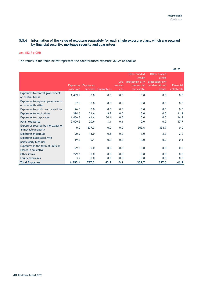## **5.5.6 Information of the value of exposure separately for each single exposure class, which are secured by financial security, mortgage security and guarantees**

#### **Art 453 f-g CRR**

The values in the table below represent the collateralized exposure values of Addiko:

|                                                           |                  |                  |                   |         |                                          |                                          | EUR m            |
|-----------------------------------------------------------|------------------|------------------|-------------------|---------|------------------------------------------|------------------------------------------|------------------|
|                                                           |                  |                  |                   | Life    | Other funded<br>credit<br>protection o/w | Other funded<br>credit<br>protection o/w |                  |
|                                                           | <b>Exposures</b> | <b>Exposures</b> |                   | Insuran | commercial                               | residential real                         | <b>Financial</b> |
|                                                           | unsecured        | secured          | <b>Guarantees</b> | ces     | real estate                              | estate                                   | collaterals      |
| Exposures to central governments<br>or central banks      | 1,489.9          | 0.0              | 0.0               | 0.0     | 0.0                                      | 0.0                                      | 0.0              |
| Exposures to regional governments<br>or local authorities | 37.0             | 0.0              | 0.0               | 0.0     | 0.0                                      | 0.0                                      | 0.0              |
| Exposures to public sector entities                       | 26.0             | 0.0              | 0.0               | 0.0     | 0.0                                      | 0.0                                      | 0.0              |
| <b>Exposures to institutions</b>                          | 324.6            | 21.6             | 9.7               | 0.0     | 0.0                                      | 0.0                                      | 11.9             |
| <b>Exposures to corporates</b>                            | 1,486.3          | 44.4             | 30.1              | 0.0     | 0.0                                      | 0.0                                      | 14.3             |
| Retail exposures                                          | 2,609.2          | 20.9             | 3.1               | 0.1     | 0.0                                      | 0.0                                      | 17.7             |
| Exposures secured by mortgages on<br>immovable property   | 0.0              | 637.3            | 0.0               | 0.0     | 302.6                                    | 334.7                                    | 0.0              |
| Exposures in default                                      | 90.9             | 13.0             | 0.8               | 0.0     | 7.0                                      | 2.3                                      | 2.9              |
| Exposures associated with<br>particularly high risk       | 19.2             | 0.1              | 0.0               | 0.0     | 0.0                                      | 0.0                                      | 0.1              |
| Exposures in the form of units or<br>shares in collective | 29.6             | 0.0              | 0.0               | 0.0     | 0.0                                      | 0.0                                      | 0.0              |
| Other items                                               | 279.6            | 0.0              | 0.0               | 0.0     | 0.0                                      | 0.0                                      | 0.0              |
| Equity exposures                                          | 3.2              | 0.0              | 0.0               | 0.0     | 0.0                                      | 0.0                                      | 0.0              |
| <b>Total Exposure</b>                                     | 6,395.4          | 737.3            | 43.7              | 0.1     | 309.7                                    | 337.0                                    | 46.9             |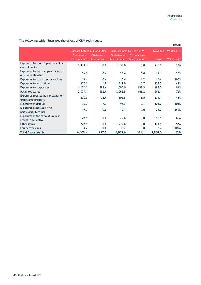|                                                           |                                    |                              |                             |                                  |                      | EUR m       |  |
|-----------------------------------------------------------|------------------------------------|------------------------------|-----------------------------|----------------------------------|----------------------|-------------|--|
|                                                           | <b>Exposure before CCF and CRM</b> |                              |                             | <b>Exposure post CCF and CRM</b> | RWAs and RWA density |             |  |
|                                                           | On-balance-<br>sheet amount        | Off-balance-<br>sheet amount | On-balance-<br>sheet amount | Off-balance-<br>sheet amount     | <b>RWA</b>           | RWA density |  |
| Exposures to central governments or<br>central banks      | 1,489.8                            | 0.0                          | 1,533.0                     | 0.0                              | 436.8                | 28%         |  |
| Exposures to regional governments<br>or local authorities | 36.6                               | 0.4                          | 36.6                        | 0.0                              | 11.1                 | 30%         |  |
| Exposures to public sector entities                       | 15.4                               | 10.6                         | 15.4                        | 1.2                              | 16.6                 | 100%        |  |
| <b>Exposures to institutions</b>                          | 327.6                              | 1.9                          | 317.9                       | 0.7                              | 138.7                | 44%         |  |
| <b>Exposures to corporates</b>                            | 1,132.6                            | 388.6                        | 1,095.0                     | 137.3                            | 1,188.2              | 96%         |  |
| Retail exposures                                          | 2,077.1                            | 552.9                        | 2,062.5                     | 166.2                            | 1,595.1              | 72%         |  |
| Exposures secured by mortgages on<br>immovable property   | 602.5                              | 34.9                         | 602.5                       | 16.5                             | 271.1                | 44%         |  |
| Exposures in default                                      | 96.2                               | 7.7                          | 95.3                        | 2.1                              | 105.7                | 108%        |  |
| Exposures associated with<br>particularly high risk       | 19.2                               | 0.0                          | 19.1                        | 0.0                              | 28.7                 | 150%        |  |
| Exposures in the form of units or<br>shares in collective | 29.6                               | 0.0                          | 29.6                        | 0.0                              | 18.1                 | 61%         |  |
| Other items                                               | 279.6                              | 0.0                          | 279.6                       | 0.0                              | 144.5                | 52%         |  |
| Equity exposures                                          | 3.2                                | 0.0                          | 3.2                         | 0.0                              | 3.2                  | 100%        |  |
| <b>Total Exposure Net</b>                                 | 6,109.4                            | 997.0                        | 6,089.6                     | 324.1                            | 3,958.0              | 62%         |  |

## The following table illustrates the effect of CRM techniques: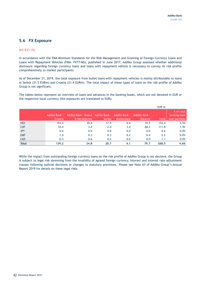# <span id="page-41-0"></span>**5.6 FX Exposure**

#### **Art 431 (3)**

In accordance with the FMA Minimum Standards for the Risk Management and Granting of Foreign Currency Loans and Loans with Repayment Vehicles (FMA- FXTT-MS), published in June 2017, Addiko Group assessed whether additional disclosure regarding foreign currency loans and loans with repayment vehicle is necessary to convey its risk profile comprehensively to market participants.

As of December 31, 2019, the total exposure from bullet loans with repayment vehicles is mainly attributable to loans in Serbia (31.5 EURm) and Croatia (21.4 EURm). The total impact of these types of loans on the risk profile of Addiko Group is not significant.

The tables below represent an overview of loans and advances in the banking books, which are not denoted in EUR or the respective local currency (the exposures are translated to EUR):

|              |                          |                                                                   |        |            |                           | EUR m        |                                              |
|--------------|--------------------------|-------------------------------------------------------------------|--------|------------|---------------------------|--------------|----------------------------------------------|
|              | Addiko Bank -<br>Croatia | Addiko Bank - Bosnia Addiko Bank - Addiko Bank -<br>& Herzegovina | Serbia | Montenegro | - Addiko Bank<br>Slovenia | <b>Total</b> | % of total<br>banking book<br>loan portfolio |
| <b>USD</b>   | 103.0                    | 20.4                                                              | 17.9   | 0.6        | 10.5                      | 152.4        | 2.5%                                         |
| <b>CHF</b>   | 34.4                     | 3.4                                                               | 2.4    | 3.4        | 68.2                      | 111.8        | 1.9%                                         |
| <b>JPY</b>   | 0.6                      | 0.0                                                               | 0.0    | 0.0        | 0.0                       | 0.6          | 0.0%                                         |
| <b>GBP</b>   | 1.0                      | 0.3                                                               | 0.3    | 0.2        | 0.4                       | 2.2          | 0.0%                                         |
| <b>CAD</b>   | 0.3                      | 0.6                                                               | 0.2    | 0.0        | 0.0                       | 1.1          | 0.0%                                         |
| <b>Total</b> | 139.2                    | 24.8                                                              | 20.7   | 4.1        | 79.7                      | 268.5        | 4.6%                                         |

While the impact from outstanding foreign currency loans on the risk profile of Addiko Group is not decisive, the Group is subject to legal risk stemming from the invalidity of agreed foreign currency, interest and interest rate adjustment clauses following judicial decisions or changes to statutory provisions. Please see Note 63 of Addiko Group's Annual Report 2019 for details on these legal risks.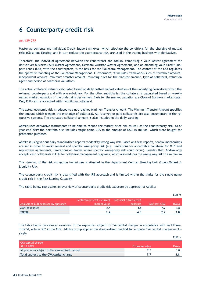EUR m

# <span id="page-42-0"></span>**6 Counterparty credit risk**

#### **Art 439 CRR**

Master Agreements and individual Credit Support Annexes, which stipulate the conditions for the charging of mutual risks (Close-out-Netting) and in turn reduce the counterparty risk, are used in the trading business with derivatives.

Therefore, the individual agreement between the counterpart and Addiko, comprising a valid Master Agreement for derivatives business (ISDA Master Agreement, German/ Austrian Master Agreement) and an amending valid Credit Support Annex (CSA) with the counterparts, is the basis for the Collateral Management. The content of the CSA regulates the operative handling of the Collateral Management. Furthermore, it includes frameworks such as threshold amount, independent amount, minimum transfer amount, rounding rules for the transfer amount, type of collateral, valuation agent and period of collateral valuations.

The actual collateral value is calculated based on daily netted market valuation of the underlying derivatives which the external counterparts and with one subsidiary. For the other subsidiaries the collateral is calculated based on weekly netted market valuation of the underlying derivatives. Basis for the market valuation are Close of Business market data. Only EUR cash is accepted within Addiko as collateral.

The actual economic risk is reduced to a not reached Minimum Transfer Amount. The Minimum Transfer Amount specifies the amount which triggers the exchange of collateral. All received or paid collaterals are also documented in the respective systems. The evaluated collateral amount is also included in the daily steering.

Addiko uses derivative instruments to be able to reduce the market price risk as well as the counterparty risk. As of year-end 2019 the portfolio also includes single name CDS in the amount of USD 10 million, which were bought for protection purposes.

Addiko is using various daily standardized reports to identify wrong-way risk. Based on these reports, control mechanisms are set in order to avoid general and specific wrong-way risk (e.g. limitations for acceptable collateral for OTC and repurchase agreements, limitations on trades where specific wrong-way risk could occur). Besides that, Addiko only accepts cash collaterals in EUR for collateral management purposes, which also reduces the wrong way risk to a minimum.

The steering of the risk mitigation techniques is situated in the department Central Steering Unit Group Market & Liquidity Risk.

The counterparty credit risk is quantified with the IRB approach and is limited within the limits for the single name credit risk in the Risk Bearing Capacity.

The table below represents an overview of counterparty credit risk exposure by approach of Addiko:

|                                      |                                                    |          |                     | EUR m       |
|--------------------------------------|----------------------------------------------------|----------|---------------------|-------------|
|                                      | Replacement cost / current Potential future credit |          |                     |             |
| Analysis of CCR exposure by approach | market value                                       | exposure | <b>EAD post CRM</b> | <b>RWAS</b> |
| Mark to market                       | 2.4                                                |          |                     |             |
| <b>TOTAL</b>                         |                                                    |          |                     |             |

The table below provides an overview of the exposures subject to CVA capital charges in accordance with Part three, Title VI, Article 382 in the CRR. Addiko Group applies the standardized method to compute CVA capital charges exclusively.

| CVA capital charge                                |                |             |
|---------------------------------------------------|----------------|-------------|
| 31.12.2019                                        | Exposure value | <b>RWAS</b> |
| All portfolios subject to the standardised method |                |             |
| Total subject to the CVA capital charge           |                |             |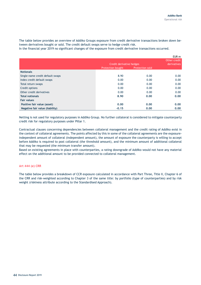The table below provides an overview of Addiko Groups exposure from credit derivative transactions broken down between derivatives bought or sold. The credit default swaps serve to hedge credit risk.

In the financial year 2019 no significant changes of the exposure from credit derivative transactions occurred.

|                                  |                          |                 | EUR m        |
|----------------------------------|--------------------------|-----------------|--------------|
|                                  |                          |                 | Other credit |
|                                  | Credit derivative hedges |                 | derivatives  |
|                                  | <b>Protection bought</b> | Protection sold |              |
| <b>Notionals</b>                 |                          |                 |              |
| Single-name credit default swaps | 8.90                     | 0.00            | 0.00         |
| Index credit default swaps       | 0.00                     | 0.00            | 0.00         |
| Total return swaps               | 0.00                     | 0.00            | 0.00         |
| Credit options                   | 0.00                     | 0.00            | 0.00         |
| Other credit derivatives         | 0.00                     | 0.00            | 0.00         |
| <b>Total notionals</b>           | 8.90                     | 0.00            | 0.00         |
| <b>Fair values</b>               |                          |                 |              |
| Positive fair value (asset)      | 0.00                     | 0.00            | 0.00         |
| Negative fair value (liability)  | $-0.15$                  | 0.00            | 0.00         |

Netting is not used for regulatory purposes in Addiko Group. No further collateral is considered to mitigate counterparty credit risk for regulatory purposes under Pillar 1.

Contractual clauses concerning dependencies between collateral management and the credit rating of Addiko exist in the context of collateral agreements. The points affected by this in some of the collateral agreements are the exposureindependent amount of collateral (independent amount), the amount of exposure the counterparty is willing to accept before Addiko is required to post collateral (the threshold amount), and the minimum amount of additional collateral that may be requested (the minimum transfer amount).

Based on existing agreements in place with counterparties, a rating downgrade of Addiko would not have any material effect on the additional amount to be provided connected to collateral management.

#### **Art 444 (e) CRR**

The table below provides a breakdown of CCR exposure calculated in accordance with Part Three, Title II, Chapter 6 of the CRR and risk-weighted according to Chapter 3 of the same title: by portfolio (type of counterparties) and by risk weight (riskiness attribute according to the Standardised Approach).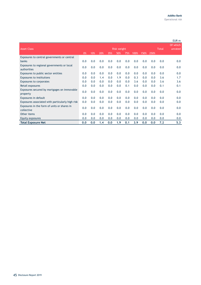|                                                           |     |     |     |     |                    |     |      |      |      |              | EUR <sub>m</sub>    |
|-----------------------------------------------------------|-----|-----|-----|-----|--------------------|-----|------|------|------|--------------|---------------------|
| <b>Asset Class</b>                                        |     |     |     |     | <b>Risk weight</b> |     |      |      |      | <b>Total</b> | Of which<br>unrated |
|                                                           | 0%  | 10% | 20% | 35% | 50%                | 75% | 100% | 150% | 250% |              |                     |
| Exposures to central governments or central               |     |     |     |     |                    |     |      |      |      |              |                     |
| banks                                                     | 0.0 | 0.0 | 0.0 | 0.0 | 0.0                | 0.0 | 0.0  | 0.0  | 0.0  | 0.0          | 0.0                 |
| Exposures to regional governments or local<br>authorities | 0.0 | 0.0 | 0.0 | 0.0 | 0.0                | 0.0 | 0.0  | 0.0  | 0.0  | 0.0          | 0.0                 |
| Exposures to public sector entities                       | 0.0 | 0.0 | 0.0 | 0.0 | 0.0                | 0.0 | 0.0  | 0.0  | 0.0  | 0.0          | 0.0                 |
| <b>Exposures to institutions</b>                          | 0.0 | 0.0 | 1.4 | 0.0 | 1.9                | 0.0 | 0.3  | 0.0  | 0.0  | 3.6          | 1.7                 |
| <b>Exposures to corporates</b>                            | 0.0 | 0.0 | 0.0 | 0.0 | 0.0                | 0.0 | 3.6  | 0.0  | 0.0  | 3.6          | 3.6                 |
| Retail exposures                                          | 0.0 | 0.0 | 0.0 | 0.0 | 0.0                | 0.1 | 0.0  | 0.0  | 0.0  | 0.1          | 0.1                 |
| Exposures secured by mortgages on immovable<br>property   | 0.0 | 0.0 | 0.0 | 0.0 | 0.0                | 0.0 | 0.0  | 0.0  | 0.0  | 0.0          | 0.0                 |
| Exposures in default                                      | 0.0 | 0.0 | 0.0 | 0.0 | 0.0                | 0.0 | 0.0  | 0.0  | 0.0  | 0.0          | 0.0                 |
| Exposures associated with particularly high risk          | 0.0 | 0.0 | 0.0 | 0.0 | 0.0                | 0.0 | 0.0  | 0.0  | 0.0  | 0.0          | 0.0                 |
| Exposures in the form of units or shares in<br>collective | 0.0 | 0.0 | 0.0 | 0.0 | 0.0                | 0.0 | 0.0  | 0.0  | 0.0  | 0.0          | 0.0                 |
| Other items                                               | 0.0 | 0.0 | 0.0 | 0.0 | 0.0                | 0.0 | 0.0  | 0.0  | 0.0  | 0.0          | 0.0                 |
| Equity exposures                                          | 0.0 | 0.0 | 0.0 | 0.0 | 0.0                | 0.0 | 0.0  | 0.0  | 0.0  | 0.0          | 0.0                 |
| <b>Total Exposure Net</b>                                 | 0.0 | 0.0 | 1.4 | 0.0 | 1.9                | 0.1 | 3.9  | 0.0  | 0.0  | 7.2          | 5.3                 |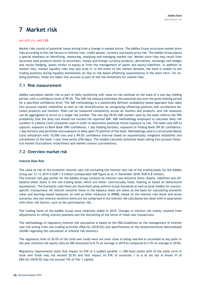# <span id="page-45-0"></span>**7 Market risk**

#### **Art 435 (1), 445 CRR**

Market risks consist of potential losses arising from a change in market prices. The Addiko Group structures market price risks according to the risk factors in interest rate, credit spread, currency and equity price risk. The Addiko Group places a special emphasis on identifying, measuring, analysing and managing market risk. Market price risks may result from securities (and products similar to securities), money and foreign currency products, derivatives, exchange rate hedges and results hedging, assets similar to equity or from the management of assets and equity/liabilities. In addition to market risks, market liquidity risks may also arise if, in the event of low market demand, the bank is unable to sell trading positions during liquidity bottlenecks (or due to risk-based offsetting requirements) in the short term. For existing positions, these are taken into account as part of the risk limitations for market risks.

## <span id="page-45-1"></span>**7.1 Risk measurement**

Addiko calculates market risk as part of daily monitoring with value-at-risk methods on the basis of a one-day holding period, with a confidence level of 99.0%. The VaR risk measure estimates the potential loss over the given holding period for a specified confidence level. The VaR methodology is a statistically defined, probability-based approach that takes into account market volatilities as well as risk diversification by recognizing offsetting positions and correlations between products and markets. Risks can be measured consistently across all markets and products, and risk measures can be aggregated to arrive at a single risk number. The one-day 99.0% VaR number used by the bank reflects the 99% probability that the daily loss should not exceed the reported VaR. VaR methodology employed to calculate daily risk numbers is a Monte Carlo simulation used in order to determine potential future exposure to risk. The bank uses VaR to capture: exposure to Bank Book (99% confidence; 1 day holding horizon), exposure to Trading Book (99.0% confidence; 1 day horizon) and portfolios and exposure to daily open FX position of the bank. Methodology used is a structured Monte Carlo simulation with 10,000 runs and a 99.0% confidence interval based on exponentially weighted volatilities and correlations of the bank´s own time series (250 days). The models calculate potential losses taking into account historical market fluctuations (volatilities) and market context (correlations).

# <span id="page-45-2"></span>**7.2 Overview market risk**

#### **Interest Rate Risk**

The value at risk of the economic interest rate risk (including the interest rate risk of the trading book) for the Addiko Group per 31.12.2019 is EUR 1.5 million (comparable VaR figure as at 31 December 2018: EUR 0.8 million). The interest rate gap profile for the Addiko Group contains all interest-rate-sensitive items (Assets, liabilities and offbalance-sheet items in the non-trading book) which are either contractually fixed, floating or based on behavioural assumptions. The stochastic cash flows are illustrated using uniform Group standards as well as local models for countryspecific transactions. All interest sensitive items in the balance sheet are taken as the basis for calculating economic value and earnings-based measures, as well as other measures of IRRBB, based on the interest rate shock and stress scenarios. Any non-interest-sensitive items are not comprised in the interest risk calculation but dealt with in association with other risk factors, such as the participation risk.

The trading items of the Addiko Group were relatively stable in 2019. Changes in interest risk mainly resulted from adjustments to rolling interest positions and the shortening of the terms of fixed-rate transactions.

The methodology of regulatory interest risk calculation is based on the EBA Guidelines on the management of interest rate risk arising from non-trading activities (EBA/GL/2018/02) and specifications of the Oesterreichische Nationalbank (OeNB) regarding the calculation of interest risk statistics.

The regulatory limit of 20.0% of the total own funds were not even close to being reached or exceeded at any point in the year (interest risk equity ratio ex NIB amounted to 8.7% on average in 2019 as compared to 5.5% on average in 2018).

Regulatory requirements state that impact on EVE of a sudden parallel +/-200 basis points shift of the yield curve in total own funds may not exceed 20.0% and that impact on EVE of scenarios 1 to 6 as set out in Annex III of EBA/GL/2018/02 may not exceed 15% of Tier 1 capital.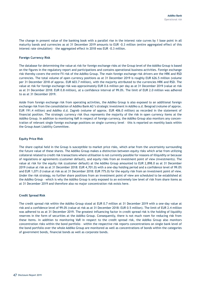The change in present value of the banking book with a parallel rise in the interest rate curves by 1 base point in all maturity bands and currencies as at 31 December 2019 amounts to EUR -0.3 million (entire aggregated effect of this interest rate simulation) – the aggregated effect in 2018 was EUR -0.3 million.

#### **Foreign Currency Risk**

The database for determining the value at risk for foreign exchange risks at the Group level of the Addiko Group is based on the figures in the regulatory report and participations and contains operational business activities. Foreign exchange risk thereby covers the entire FX risk of the Addiko Group. The main foreign exchange risk drivers are the HRK and RSD currencies. The total volume of open currency positions as at 31 December 2019 is roughly EUR 626.5 million (volume per 31 December 2018 of approx. EUR 603.7 million), with the majority attributed to the currencies HRK and RSD. The value at risk for foreign exchange risk was approximately EUR 0.6 million per day as at 31 December 2019 (value at risk as at 31 December 2018: EUR 0.8 million), at a confidence interval of 99.0%. The limit of EUR 2.0 million was adhered to as at 31 December 2019.

Aside from foreign exchange risk from operating activities, the Addiko Group is also exposed to an additional foreign exchange risk from the consolidation of Addiko Bank AG's strategic investment in Addiko a.d. Beograd (volume of approx. EUR 191.4 million) and Addiko d.d. Zagreb (volume of approx. EUR 406.0 million) as recorded in the statement of financial position. The strategic currency risk thus represents the majority of the risk in open currency items at the Addiko Group. In addition to monitoring VaR in respect of foreign currency, the Addiko Group also monitors any concentration of relevant single foreign exchange positions on single currency level – this is reported on monthly basis within the Group Asset Liability Committee.

#### **Equity Price Risk**

The share capital held in the Group is susceptible to market price risks, which arise from the uncertainty surrounding the future value of these shares. The Addiko Group makes a distinction between equity risks which arise from utilizing collateral related to credit risk transactions where utilisation is not currently possible for reasons of illiquidity or because of regulations or agreements (customer default), and equity risks from an investment point of view (investments). The value at risk for the equity risk (customer default) at the Addiko Group amounted to EUR 2,898.0 as at 31 December 2019 (value at risk as at 31 December 2018: EUR 4,701.0) with a one-day holding period and a confidence level of 99.0% and EUR 1,071.0 (value at risk as at 31 December 2018: EUR 775.0) for the equity risk from an investment point of view. Under the risk strategy, no further share positions from an investment point of view are scheduled to be established at the Addiko Group – which is why the Addiko Group is only exposed to an extremely low level of risk from share items as at 31 December 2019 and therefore also no major concentration risk exists here.

#### **Credit Spread Risk**

The credit spread risk within the Addiko Group stood at EUR 0.7 million at 31 December 2019 with a one-day value at risk and a confidence level of 99.0% (value at risk as at 31 December 2018: EUR 0.5 million). The limit of EUR 2.4 million was adhered to as at 31 December 2019. The greatest influencing factor in credit spread risk is the holding of liquidity reserves in the form of securities at the Addiko Group. Consequently, there is not much room for reducing risk from these items. In addition to monitoring VaR in respect to the credit spread risk, the Addiko Group also monitors concentration risks within the bond portfolio – within the respective risk reports concentrations on single bank level of the bond portfolio over the whole Addiko Group are monitored as well as concentrations of bonds within the categories of government bonds, financial bonds as well as corporate bonds.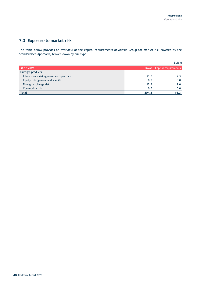# <span id="page-47-0"></span>**7.3 Exposure to market risk**

The table below provides an overview of the capital requirements of Addiko Group for market risk covered by the Standardised Approach, broken down by risk type:

|                                           |       | EUR <sub>m</sub>          |
|-------------------------------------------|-------|---------------------------|
| 31.12.2019                                |       | RWAs Capital requirements |
| Outright products                         |       |                           |
| Interest rate risk (general and specific) | 91.7  | 7.3                       |
| Equity risk (general and specific         | 0.0   | 0.0                       |
| Foreign exchange risk                     | 112.5 | 9.0                       |
| Commodity risk                            | 0.0   | 0.0                       |
| <b>Total</b>                              | 204.2 | 16.3                      |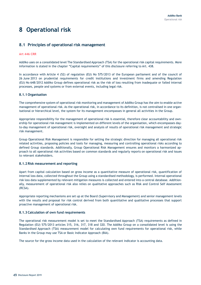# <span id="page-48-0"></span>**8 Operational risk**

# <span id="page-48-1"></span>**8.1 Principles of operational risk management**

#### **Art 446 CRR**

Addiko uses on a consolidated level The Standardised Approach (TSA) for the operational risk capital requirements. More information is stated in the chapter "Capital requirements" of this disclosure referring to Art. 438.

In accordance with Article 4 (52) of regulation (EU) No 575/2013 of the European parliament and of the council of 26 June 2013 on prudential requirements for credit institutions and investment firms and amending Regulation (EU) No 648/2012 Addiko Group defines operational risk as the risk of loss resulting from inadequate or failed internal processes, people and systems or from external events, including legal risk.

#### **8.1.1 Organisation**

The comprehensive system of operational risk monitoring and management of Addiko Group has the aim to enable active management of operational risk. As the operational risk, in accordance to its definition, is not centralised in one organisational or hierarchical level, the system for its management encompasses in general all activities in the Group.

Appropriate responsibility for the management of operational risk is essential, therefore clear accountability and ownership for operational risk management is implemented on different levels of the organisation, which encompasses dayto-day management of operational risk, oversight and analysis of results of operational risk management and strategic risk management.

Group Operational Risk Management is responsible for setting the strategic direction for managing all operational risk related activities, proposing policies and tools for managing, measuring and controlling operational risks according to defined Group standards. Additionally, Group Operational Risk Management ensures and monitors a harmonized approach to all operational risk activities based on common standards and regularly reports on operational risk and issues to relevant stakeholders.

#### **8.1.2 Risk measurement and reporting**

Apart from capital calculation based on gross income as a quantitative measure of operational risk, quantification of internal loss data, collected throughout the Group using a standardised methodology, is performed. Internal operational risk loss data supplemented by relevant mitigation measures is collected and entered into a central database. Additionally, measurement of operational risk also relies on qualitative approaches such as Risk and Control Self Assessment (RCSA).

Appropriate reporting mechanisms are set up at the Board (Supervisory and Management) and senior management levels with the results and proposal for risk control derived from both quantitative and qualitative processes that support proactive management of operational risk.

#### **8.1.3 Calculation of own fund requirements**

The operational risk measurement model is set to meet the Standardised Approach (TSA) requirements as defined in Regulation (EU) 575/2013 articles 315, 316, 317, 318 and 320. The Addiko Group on a consolidated level is using the Standardised Approach (TSA) measurement model for calculating own fund requirements for operational risk, while Banks in the Group may use TSA or Basic Indicator Approach (BIA).

The source for the gross income data used in the calculation of the relevant indicator is accounting data.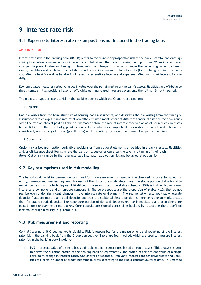# <span id="page-49-0"></span>**9 Interest rate risk**

# <span id="page-49-1"></span>**9.1 Exposure to interest rate risk on positions not included in the trading book**

#### **Art 448 (a) CRR**

Interest rate risk in the banking book (IRRBB) refers to the current or prospective risk to the bank's capital and earnings arising from adverse movements in interest rates that affect the bank's banking book positions. When interest rates change, the present value and timing of future cash flows change. This in turn changes the underlying value of a bank's assets, liabilities and off-balance sheet items and hence its economic value of equity (EVE). Changes in interest rates also affect a bank's earnings by altering interest rate-sensitive income and expenses, affecting its net interest income (NII).

Economic value measures reflect changes in value over the remaining life of the bank's assets, liabilities and off-balance sheet items, until all positions have run off, while earnings-based measure covers only the rolling 12-month period.

The main sub-types of interest risk in the banking book to which the Group is exposed are:

1.Gap risk

Gap risk arises from the term structure of banking book instruments, and describes the risk arising from the timing of instrument rate changes. Since rate resets on different instruments occur at different tenors, the risk to the bank arises when the rate of interest paid on liabilities increases before the rate of interest received on assets or reduces on assets before liabilities. The extent of gap risk depends also on whether changes to the term structure of interest rates occur consistently across the yield curve (parallel risk) or differentially by period (non-parallel or yield curve risk).

2.Option risk

Option risk arises from option derivative positions or from optional elements embedded in a bank's assets, liabilities and/or off-balance sheet items, where the bank or its customer can alter the level and timing of their cash flows. Option risk can be further characterized into automatic option risk and behavioural option risk.

# <span id="page-49-2"></span>**9.2 Key assumptions used in risk modelling**

The behavioural model for demand deposits used for risk measurement is based on the observed historical behaviour by entity, currency and business segment. For each of the cluster the model determines the stable portion that is found to remain undrawn with a high degree of likelihood. In a second step, the stable subset of NMDs is further broken down into a core component and a non-core component. The core deposits are the proportion of stable NMDs that do not reprice even under significant changes in the interest rate environment. The segmentation assumes that wholesale deposits fluctuate more than retail deposits and that the stable wholesale portion is more sensitive to market rates than for stable retail deposits. The none-core portion of demand deposits reprice immediately and accordingly are placed into the overnight time bucket. Core deposits are slotted across time buckets by respecting the predefined maximal average maturity (e.g. retail 5Y).

# <span id="page-49-3"></span>**9.3 Risk measurement and reporting**

Central Steering Unit Group Market & Liquidity Risk is responsible for the measurement and reporting of the interest rate risk in the banking book from the Group perspective. There are four methods which are used to measure interest rate risk in the banking book in Addiko:

1. PV01 - present value of a single basis point change in interest rates based on gap analysis. This analysis is used to derive the duration profile of the banking book or, equivalently, the profile of the present value of a single basis point change in interest rates. Gap analysis allocates all relevant interest rate-sensitive assets and liabilities to a certain number of predefined time buckets according to their next contractual reset date. This method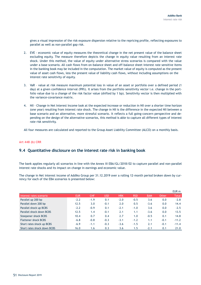gives a visual impression of the risk exposure dispersion relative to the repricing profile, reflecting exposures to parallel as well as non-parallel gap risk.

- 2. EVE economic value of equity measures the theoretical change in the net present value of the balance sheet excluding equity. The measure therefore depicts the change in equity value resulting from an interest rate shock. Under this method, the value of equity under alternative stress scenarios is compared with the value under a base scenario. All cash flows from on-balance sheet and off-balance sheet interest rate sensitive items in the banking book may be included in the computation. The market value of equity is computed as the present value of asset cash flows, less the present value of liability cash flows, without including assumptions on the interest rate sensitivity of equity.
- 3. VaR value at risk measure maximum potential loss in value of an asset or portfolio over a defined period (1 day) at a given confidence interval (99%). It arises from the portfolio sensitivity vector i.e. change in the portfolio value due to a change of the risk factor value (shifted by 1 bp). Sensitivity vector is then multiplied with the variance-covariance matrix.
- 4. NII Change in Net Interest Income look at the expected increase or reduction in NII over a shorter time horizon (one year) resulting from interest rate shock. The change in NII is the difference in the expected NII between a base scenario and an alternative, more stressful scenario. It reflects a full going-concern perspective and depending on the design of the alternative scenarios, this method is able to capture all different types of interest rate risk sensitivity.

All four measures are calculated and reported to the Group Asset Liability Committee (ALCO) on a monthly basis.

#### **Art 448 (b) CRR**

# <span id="page-50-0"></span>**9.4 Quantitative disclosure on the interest rate risk in banking book**

The bank applies regularly all scenarios in line with the Annex III EBA/GL/2018/02 to capture parallel and non-parallel interest rate shocks and its impact on change in earnings and economic value.

The change in Net interest income of Addiko Group per 31.12.2019 over a rolling 12-month period broken down by currency for each of the EBA scenarios is presented below:

|                             |            |        |        |            |            |            |        | EUR <sub>m</sub> |
|-----------------------------|------------|--------|--------|------------|------------|------------|--------|------------------|
| Interest rates scenario     | <b>EUR</b> | CHF    | USD    | <b>HRK</b> | <b>RSD</b> | <b>BAM</b> | Other  | <b>Total</b>     |
| Parallel up 200 bp          | $-2.2$     | $-1.9$ | 0.1    | $-2.0$     | $-0.5$     | 3.6        | 0.0    | $-2.8$           |
| Parallel down 200 bp        | 12.5       | 3.0    | $-0.1$ | 2.0        | 0.5        | $-3.6$     | 0.0    | 14.4             |
| Parallel shock up BCBS      | $-2.2$     | $-0.9$ | 0.1    | $-2.1$     | $-1.0$     | 3.6        | 0.0    | $-2.5$           |
| Parallel shock down BCBS    | 12.5       | 1.4    | $-0.1$ | 2.1        | 1.1        | $-3.6$     | 0.0    | 13.5             |
| Steepener shock BCBS        | 10.4       | 0.7    | 0.4    | 2.7        | 1.0        | $-0.5$     | 0.1    | 14.8             |
| <b>Flattener shock BCBS</b> | $-6.8$     | $-0.8$ | $-0.3$ | $-3.1$     | $-1.2$     | 1.1        | $-0.1$ | $-11.2$          |
| Short rates shock up BCBS   | $-6.9$     | $-1.1$ | $-0.3$ | $-3.6$     | $-1.5$     | 2.1        | $-0.1$ | $-11.4$          |
| Short rates shock down BCBS | 16.0       | 1.6    | 0.3    | 3.6        | 1.5        | $-2.1$     | 0.1    | 21.0             |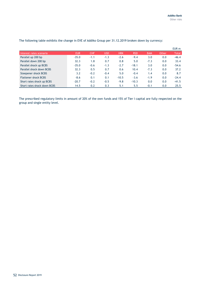|                             |            |            |        |            |            |            |       | EUR m        |
|-----------------------------|------------|------------|--------|------------|------------|------------|-------|--------------|
| Interest rates scenario     | <b>EUR</b> | <b>CHF</b> | USD    | <b>HRK</b> | <b>RSD</b> | <b>BAM</b> | Other | <b>Total</b> |
| Parallel up 200 bp          | $-35.0$    | $-1.1$     | $-1.3$ | $-2.6$     | $-9.4$     | 3.0        | 0.0   | $-46.4$      |
| Parallel down 200 bp        | 32.3       | 1.8        | 0.7    | 0.8        | 5.0        | $-7.3$     | 0.0   | 33.4         |
| Parallel shock up BCBS      | $-35.0$    | $-0.6$     | $-1.3$ | $-2.7$     | $-18.1$    | 3.0        | 0.0   | $-54.6$      |
| Parallel shock down BCBS    | 32.3       | 0.5        | 0.7    | 0.6        | 10.4       | $-7.3$     | 0.0   | 37.2         |
| Steepener shock BCBS        | 3.2        | $-0.2$     | $-0.4$ | 5.0        | $-0.4$     | 1.4        | 0.0   | 8.7          |
| <b>Flattener shock BCBS</b> | $-8.6$     | 0.1        | 0.1    | $-10.5$    | $-3.6$     | $-1.9$     | 0.0   | $-24.4$      |
| Short rates shock up BCBS   | $-20.7$    | $-0.2$     | $-0.5$ | $-9.8$     | $-10.3$    | 0.0        | 0.0   | $-41.5$      |
| Short rates shock down BCBS | 14.5       | 0.2        | 0.3    | 5.1        | 5.5        | $-0.1$     | 0.0   | 25.5         |

The following table exhibits the change in EVE of Addiko Group per 31.12.2019 broken down by currency:

The prescribed regulatory limits in amount of 20% of the own funds and 15% of Tier I capital are fully respected on the group and single entity level.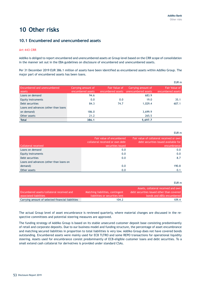EUR m

# <span id="page-52-0"></span>**10 Other risks**

# <span id="page-52-1"></span>**10.1 Encumbered and unencumbered assets**

#### **Art 443 CRR**

Addiko is obliged to report encumbered and unencumbered assets at Group level based on the CRR scope of consolidation in the manner set out in the EBA guidelines on disclosure of encumbered and unencumbered assets.

Per 31 December 2019 EUR 386.1 million of assets have been identified as encumbered assets within Addiko Group. The major part of encumbered assets has been loans.

|                                       |                                         |                      |                                                             | EUR m                                     |
|---------------------------------------|-----------------------------------------|----------------------|-------------------------------------------------------------|-------------------------------------------|
| Encumbered and unencumbered<br>assets | Carrying amount of<br>encumbered assets | <b>Fair Value of</b> | Carrying amount of<br>encumbered assets unencumbered assets | <b>Fair Value of</b><br>encumbered assets |
| Loans on demand                       | 94.6                                    |                      | 683.9                                                       |                                           |
| Equity instruments                    | 0.0                                     | 0.0                  | 19.0                                                        | 35.1                                      |
| Debt securities                       | 84.3                                    | 74.7                 | 1.029.4                                                     | 607.1                                     |
| Loans and advances (other than loans  |                                         |                      |                                                             |                                           |
| on demand)                            | 186.0                                   |                      | 3,699.9                                                     |                                           |
| Other assets                          | 21.2                                    |                      | 265.5                                                       |                                           |
| <b>Total</b>                          | 386.1                                   |                      | 5,697.7                                                     |                                           |

| Collateral received                     | Fair value of encumbered<br>collateral received or own debt<br>securities issued | Fair value of collateral received or own<br>debt securities issued available for<br>encumbrance |
|-----------------------------------------|----------------------------------------------------------------------------------|-------------------------------------------------------------------------------------------------|
| Loans on demand                         | 0.0                                                                              | 0.0                                                                                             |
| Equity instruments                      | 0.0                                                                              | 0.0                                                                                             |
| Debt securities                         | 0.0                                                                              | 8.7                                                                                             |
| Loans and advances (other than loans on |                                                                                  |                                                                                                 |
| demand)                                 | 0.0                                                                              | 190.8                                                                                           |
| Other assets                            | 0.0                                                                              | 0.1                                                                                             |

|                                                   |                                  | EUR m                                     |
|---------------------------------------------------|----------------------------------|-------------------------------------------|
|                                                   |                                  | Assets, collateral received and own       |
| Encumbered assets/collateral received and         | Matching liabilities, contingent | debt securities issued other than covered |
| associated liabilities                            | liabilities or securities lent   | bonds and ABSs encumbered                 |
| Carrying amount of selected financial liabilities | 104.2                            | 109.4                                     |

The actual Group level of asset encumbrance is reviewed quarterly, where material changes are discussed in the respective committees and potential steering measures are approved.

The funding strategy of Addiko Group is based on its stable unsecured customer deposit base consisting predominantly of retail and corporate deposits. Due to our business model and funding structure, the percentage of asset encumbrance and matching secured liabilities in proportion to total liabilities is very low. Addiko Group does not have covered bonds outstanding. Encumbered assets were mainly used for ECB TLTRO and some REPO transactions for operational liquidity steering. Assets used for encumbrance consist predominantly of ECB-eligible customer loans and debt securities. To a small extend cash collateral for derivatives is provided under standard CSAs.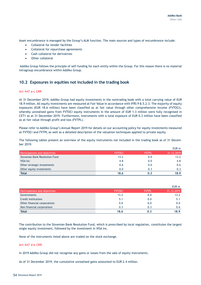Asset encumbrance is managed by the Group's ALM function. The main sources and types of encumbrance include:

- Collateral for tender facilities
- Collateral for repurchase agreements
- Cash collateral for derivatives
- Other collateral

Addiko Group follows the principle of self-funding for each entity within the Group. For this reason there is no material intragroup encumbrance within Addiko Group.

# <span id="page-53-0"></span>**10.2 Exposures in equities not included in the trading book**

#### **Art 447 a-c CRR**

At 31 December 2019, Addiko Group had equity investments in the nontrading book with a total carrying value of EUR 18.9 million. All equity investments are measured at Fair Value in accordance with IFRS 9 B.5.2.3. The majority of equity exposures (EUR 18.6 million) have been classified as at fair value through other comprehensive income (FVTOCI), whereby unrealised gains from FVTOCI equity instruments in the amount of EUR 1.3 million were fully recognised in CET1 as at 31 December 2019. Furthermore, Instruments with a total exposure of EUR 0.3 million have been classified as at fair value through profit and loss (FVTPL).

Please refer to Addiko Group's Annual Report 2019 for details on our accounting policy for equity investments measured at FVTOCI and FVTPL as well as a detailed description of the valuation techniques applied to private equity.

The following tables present an overview of the equity instruments not included in the trading book as of 31 December 2019:

|                                |               |              | EUR m      |
|--------------------------------|---------------|--------------|------------|
| Participations and objectives  | <b>FVTOCI</b> | <b>FVTPL</b> | 31.12.2019 |
| Slovenian Bank Resolution Fund | 13.2          | 0.0          | 13.2       |
| VISA Inc.                      | 4.8           | 0.0          | 4.8        |
| Other strategic investments    | 0.6           | 0.0          | 0.6        |
| Other equity investments       | 0.0           | 0.3          | 0.3        |
| <b>Total</b>                   | 18.6          | 0.3          | 18.9       |

|                               |               |              | EUR m      |
|-------------------------------|---------------|--------------|------------|
| Participations and objectives | <b>FVTOCI</b> | <b>FVTPL</b> | 31.12.2019 |
| Governments                   | 13.2          | 0.0          | 13.2       |
| Credit institutions           | 5.1           | 0.0          | 5.1        |
| Other financial corporations  | 0.0           | 0.0          | 0.0        |
| Non-financial corporations    | 0.3           | 0.3          |            |
| <b>Total</b>                  | 18.6          |              | 18.9       |

The contribution to the Slovenian Bank Resolution Fund, which is prescribed by local regulation, constitutes the largest single equity investment, followed by the investment in VISA Inc.

None of the instruments listed above are traded on the stock exchange.

#### **Art 447 d-e CRR**

In 2019 Addiko Group did not recognise any gains or losses from the sale of equity instruments.

As of 31 December 2019, the cumulative unrealised gains amounted to EUR 2.4 million.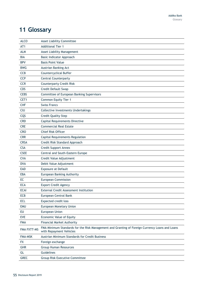# <span id="page-54-0"></span>**11 Glossary**

| <b>ALCO</b>    | <b>Asset Liability Committee</b>                                                                                          |
|----------------|---------------------------------------------------------------------------------------------------------------------------|
| AT1            | <b>Additional Tier 1</b>                                                                                                  |
| <b>ALM</b>     | <b>Asset Liability Management</b>                                                                                         |
| <b>BIA</b>     | Basic Indicator Approach                                                                                                  |
| <b>BPV</b>     | <b>Basis Point Value</b>                                                                                                  |
| <b>BWG</b>     | Austrian Banking Act                                                                                                      |
| <b>CCB</b>     | <b>Countercyclical Buffer</b>                                                                                             |
| <b>CCP</b>     | <b>Central Counterparty</b>                                                                                               |
| <b>CCR</b>     | <b>Counterparty Credit Risk</b>                                                                                           |
| CDS            | Credit Default Swap                                                                                                       |
| <b>CEBS</b>    | Committee of European Banking Supervisors                                                                                 |
| CET1           | Common Equity Tier 1                                                                                                      |
| <b>CHF</b>     | <b>Swiss Francs</b>                                                                                                       |
| <b>CIU</b>     | <b>Collective Investments Undertakings</b>                                                                                |
| CQS            | <b>Credit Quality Step</b>                                                                                                |
| <b>CRD</b>     | <b>Capital Requirements Directive</b>                                                                                     |
| <b>CRE</b>     | <b>Commercial Real Estate</b>                                                                                             |
| <b>CRO</b>     | <b>Chief Risk Officer</b>                                                                                                 |
| <b>CRR</b>     | <b>Capital Requirements Regulation</b>                                                                                    |
| <b>CRSA</b>    | Credit Risk Standard Approach                                                                                             |
| <b>CSA</b>     | Credit Support Annex                                                                                                      |
| <b>CSEE</b>    | Central and South-Eastern Europe                                                                                          |
| <b>CVA</b>     | Credit Value Adjustment                                                                                                   |
| <b>DVA</b>     | Debit Value Adjustment                                                                                                    |
| <b>EAD</b>     | <b>Exposure at Default</b>                                                                                                |
| <b>EBA</b>     | European Banking Authority                                                                                                |
| EC             | <b>European Commission</b>                                                                                                |
| <b>ECA</b>     | <b>Export Credit Agency</b>                                                                                               |
| <b>ECAI</b>    | External Credit Assessment Institution                                                                                    |
| <b>ECB</b>     | European Central Bank                                                                                                     |
| <b>ECL</b>     | Expected credit loss                                                                                                      |
| <b>EMU</b>     | <b>European Monetary Union</b>                                                                                            |
| EU             | <b>European Union</b>                                                                                                     |
| <b>EVE</b>     | Economic Value of Equity                                                                                                  |
| <b>FMA</b>     | <b>Financial Market Authority</b>                                                                                         |
| FMA FXTT-MS    | FMA Minimum Standards for the Risk Management and Granting of Foreign Currency Loans and Loans<br>with Repayment Vehicles |
| <b>FMA-MSK</b> | <b>Austrian Minimum Standards for Credit Business</b>                                                                     |
| <b>FX</b>      | Foreign exchange                                                                                                          |
| <b>GHR</b>     | <b>Group Human Resources</b>                                                                                              |
| GL             | Guidelines                                                                                                                |
| <b>GREC</b>    | <b>Group Risk Executive Committee</b>                                                                                     |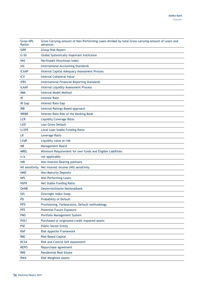| <b>Gross NPL</b><br>Ration | Gross Carrying amount of Non-Performing Loans divided by total Gross carrying amount of Loans and<br>advances |
|----------------------------|---------------------------------------------------------------------------------------------------------------|
| <b>GRR</b>                 | <b>Group Risk Report</b>                                                                                      |
| G-SII                      | Global Systemically Important Institution                                                                     |
| HHI                        | Herfindahl Hirschman Index                                                                                    |
| IAS                        | International Accounting Standards                                                                            |
| <b>ICAAP</b>               | Internal Capital Adequacy Assessment Process                                                                  |
| <b>ICV</b>                 | <b>Internal Collateral Value</b>                                                                              |
| <b>IFRS</b>                | <b>International Financial Reporting Standards</b>                                                            |
| <b>ILAAP</b>               | Internal Liquidity Assessment Process                                                                         |
| <b>IMM</b>                 | <b>Internal Model Method</b>                                                                                  |
| IR                         | <b>Interest Rate</b>                                                                                          |
| IR Gap                     | <b>Interest Rate Gap</b>                                                                                      |
| <b>IRB</b>                 | Internal-Ratings-Based approach                                                                               |
| <b>IRRBB</b>               | Interest Rate Risk of the Banking Book                                                                        |
| <b>LCR</b>                 | <b>Liquidity Coverage Ratio</b>                                                                               |
| <b>LGD</b>                 | <b>Loss Given Default</b>                                                                                     |
| <b>LLSFR</b>               | Local Loan Stable Funding Ratio                                                                               |
| LR                         | Leverage Ratio                                                                                                |
| <b>LVaR</b>                | Liquidity value at risk                                                                                       |
| <b>MB</b>                  | Management Board                                                                                              |
| <b>MREL</b>                | Minimum Requirement for own funds and Eligible Liabilities                                                    |
| n/a                        | not applicable                                                                                                |
| <b>NIB</b>                 | Non-Interest-Bearing positions                                                                                |
| NII sensitivity            | Net interest income (NII) sensitivity                                                                         |
| <b>NMD</b>                 | <b>Non-Maturity Deposits</b>                                                                                  |
| <b>NPL</b>                 | Non-Performing Loans                                                                                          |
| <b>NSFR</b>                | Net Stable Funding Ratio                                                                                      |
| <b>OeNB</b>                | Oesterreichische Nationalbank                                                                                 |
| <b>OIS</b>                 | Overnight Index Swap                                                                                          |
| <b>PD</b>                  | Probability of Default                                                                                        |
| <b>PFD</b>                 | Provisioning, Forbearance, Default methodology                                                                |
| <b>PFE</b>                 | <b>Potential Future Exposure</b>                                                                              |
| <b>PMS</b>                 | Portfolio Management System                                                                                   |
| <b>POCI</b>                | Purchased or originated credit impaired assets                                                                |
| <b>PSE</b>                 | <b>Public Sector Entity</b>                                                                                   |
| <b>RAF</b>                 | Risk Appetite Framework                                                                                       |
| <b>RBC</b>                 | <b>Risk-Based Capital</b>                                                                                     |
| <b>RCSA</b>                | Risk and Control Self Assessment                                                                              |
|                            |                                                                                                               |
| <b>REPO</b>                | Repurchase agreement                                                                                          |
| <b>RRE</b>                 | <b>Residential Real Estate</b>                                                                                |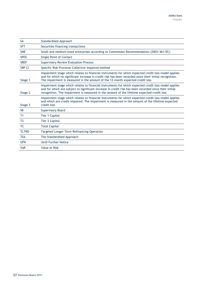| <b>SA</b>      | <b>Standardised Approach</b>                                                                                                                                                                                                                                                                                 |
|----------------|--------------------------------------------------------------------------------------------------------------------------------------------------------------------------------------------------------------------------------------------------------------------------------------------------------------|
| <b>SFT</b>     | Securities financing transactions                                                                                                                                                                                                                                                                            |
| <b>SME</b>     | Small and medium-sized enterprises according to Commission Recommendation (2003/361/EC)                                                                                                                                                                                                                      |
| <b>SPOC</b>    | <b>Single Point of Contact</b>                                                                                                                                                                                                                                                                               |
| <b>SREP</b>    | <b>Supervisory Review Evaluation Process</b>                                                                                                                                                                                                                                                                 |
| <b>SRP CI</b>  | Specific Risk Provision Collective Impaired method                                                                                                                                                                                                                                                           |
| Stage 1        | Impairment stage which relates to financial instruments for which expected credit loss model applies<br>and for which no significant increase in credit risk has been recorded since their initial recognition.<br>The impairment is measured in the amount of the 12-month expected credit loss             |
| Stage 2        | Impairment stage which relates to financial instruments for which expected credit loss model applies<br>and for which are subject to significant increase in credit risk has been recorded since their initial<br>recognition. The impairment is measured in the amount of the lifetime expected credit loss |
| Stage 3        | Impairment stage which relates to financial instruments for which expected credit loss model applies<br>and which are credit-impaired. The impairment is measured in the amount of the lifetime expected<br>credit loss                                                                                      |
| <b>SB</b>      | <b>Supervisory Board</b>                                                                                                                                                                                                                                                                                     |
| T <sub>1</sub> | Tier 1 Capital                                                                                                                                                                                                                                                                                               |
| T <sub>2</sub> | <b>Tier 2 Capital</b>                                                                                                                                                                                                                                                                                        |
| <b>TC</b>      | <b>Total Capital</b>                                                                                                                                                                                                                                                                                         |
| <b>TLTRO</b>   | Targeted Longer-Term Refinancing Operation                                                                                                                                                                                                                                                                   |
| <b>TSA</b>     | The Standardised Approach                                                                                                                                                                                                                                                                                    |
| <b>UFN</b>     | <b>Until Further Notice</b>                                                                                                                                                                                                                                                                                  |
| <b>VaR</b>     | Value at Risk                                                                                                                                                                                                                                                                                                |